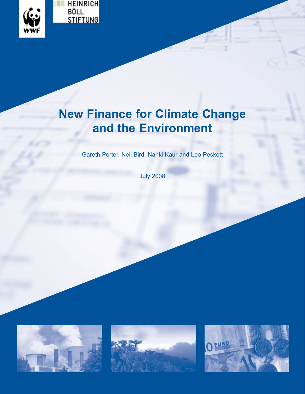

# **New Finance for Climate Change and the Environment**

Gareth Porter, Neil Bird, Nanki Kaur and Leo Peskett

July 2008





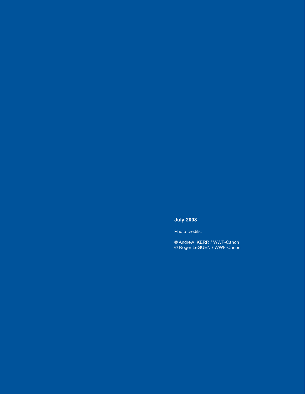# **July 2008**

Photo credits:

© Andrew KERR / WWF-Canon © Roger LeGUEN / WWF-Canon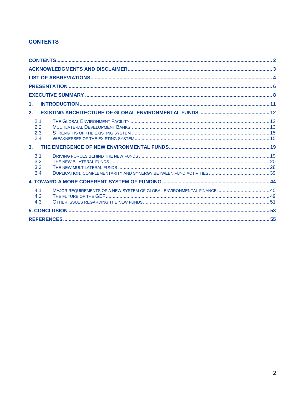# **CONTENTS**

| $\mathbf{1}$ .                                                                             |  |
|--------------------------------------------------------------------------------------------|--|
| 2.                                                                                         |  |
| 2.1<br>2.2<br>2.3<br>2.4                                                                   |  |
| 3.                                                                                         |  |
| 3.1<br>3.2<br>3.3<br>3.4                                                                   |  |
|                                                                                            |  |
| MAJOR REQUIREMENTS OF A NEW SYSTEM OF GLOBAL ENVIRONMENTAL FINANCE 45<br>4.1<br>4.2<br>4.3 |  |
|                                                                                            |  |
|                                                                                            |  |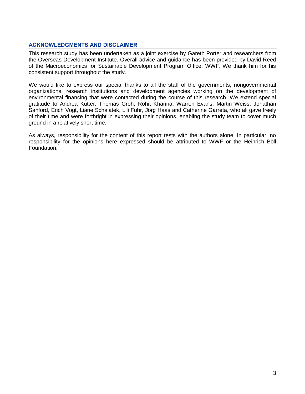#### **ACKNOWLEDGMENTS AND DISCLAIMER**

This research study has been undertaken as a joint exercise by Gareth Porter and researchers from the Overseas Development Institute. Overall advice and guidance has been provided by David Reed of the Macroeconomics for Sustainable Development Program Office, WWF. We thank him for his consistent support throughout the study.

We would like to express our special thanks to all the staff of the governments, nongovernmental organizations, research institutions and development agencies working on the development of environmental financing that were contacted during the course of this research. We extend special gratitude to Andrea Kutter, Thomas Groh, Rohit Khanna, Warren Evans, Martin Weiss, Jonathan Sanford, Erich Vogt, Liane Schalatek, Lili Fuhr, Jörg Haas and Catherine Garreta, who all gave freely of their time and were forthright in expressing their opinions, enabling the study team to cover much ground in a relatively short time.

As always, responsibility for the content of this report rests with the authors alone. In particular, no responsibility for the opinions here expressed should be attributed to WWF or the Heinrich Böll Foundation.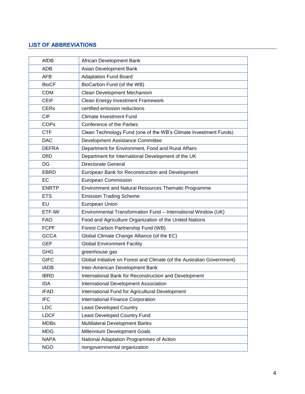# **LIST OF ABBREVIATIONS**

| <b>AfDB</b>  | African Development Bank                                               |
|--------------|------------------------------------------------------------------------|
| <b>ADB</b>   | Asian Development Bank                                                 |
| AFB          | <b>Adaptation Fund Board</b>                                           |
| <b>BioCF</b> | BioCarbon Fund (of the WB)                                             |
| <b>CDM</b>   | Clean Development Mechanism                                            |
| <b>CEIF</b>  | <b>Clean Energy Investment Framework</b>                               |
| <b>CERs</b>  | certified emission reductions                                          |
| <b>CIF</b>   | <b>Climate Investment Fund</b>                                         |
| <b>COPs</b>  | Conference of the Parties                                              |
| <b>CTF</b>   | Clean Technology Fund (one of the WB's Climate Investment Funds)       |
| <b>DAC</b>   | Development Assistance Committee                                       |
| <b>DEFRA</b> | Department for Environment, Food and Rural Affairs                     |
| <b>DfID</b>  | Department for International Development of the UK                     |
| DG           | <b>Directorate General</b>                                             |
| <b>EBRD</b>  | European Bank for Reconstruction and Development                       |
| EC           | <b>European Commission</b>                                             |
| <b>ENRTP</b> | Environment and Natural Resources Thematic Programme                   |
| <b>ETS</b>   | <b>Emission Trading Scheme</b>                                         |
| <b>EU</b>    | European Union                                                         |
| ETF-IW       | Environmental Transformation Fund - International Window (UK)          |
| <b>FAO</b>   | Food and Agriculture Organization of the United Nations                |
| <b>FCPF</b>  | Forest Carbon Partnership Fund (WB)                                    |
| <b>GCCA</b>  | Global Climate Change Alliance (of the EC)                             |
| <b>GEF</b>   | <b>Global Environment Facility</b>                                     |
| <b>GHG</b>   | greenhouse gas                                                         |
| <b>GIFC</b>  | Global Initiative on Forest and Climate (of the Australian Government) |
| <b>IADB</b>  | Inter-American Development Bank                                        |
| <b>IBRD</b>  | International Bank for Reconstruction and Development                  |
| <b>IDA</b>   | International Development Association                                  |
| <b>IFAD</b>  | International Fund for Agricultural Development                        |
| <b>IFC</b>   | International Finance Corporation                                      |
| <b>LDC</b>   | <b>Least Developed Country</b>                                         |
| <b>LDCF</b>  | Least Developed Country Fund                                           |
| <b>MDBs</b>  | Multilateral Development Banks                                         |
| MDG          | Millennium Development Goals                                           |
| <b>NAPA</b>  | National Adaptation Programmes of Action                               |
| <b>NGO</b>   | nongovernmental organization                                           |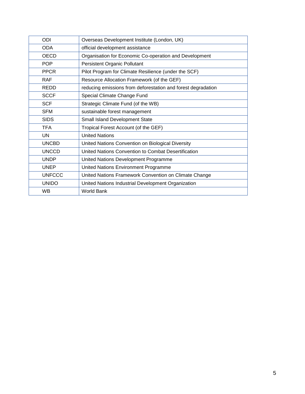| ODI           | Overseas Development Institute (London, UK)                  |
|---------------|--------------------------------------------------------------|
| <b>ODA</b>    | official development assistance                              |
| <b>OECD</b>   | Organisation for Economic Co-operation and Development       |
| <b>POP</b>    | Persistent Organic Pollutant                                 |
| <b>PPCR</b>   | Pilot Program for Climate Resilience (under the SCF)         |
| <b>RAF</b>    | Resource Allocation Framework (of the GEF)                   |
| <b>REDD</b>   | reducing emissions from deforestation and forest degradation |
| <b>SCCF</b>   | Special Climate Change Fund                                  |
| <b>SCF</b>    | Strategic Climate Fund (of the WB)                           |
| <b>SFM</b>    | sustainable forest management                                |
| <b>SIDS</b>   | Small Island Development State                               |
| <b>TFA</b>    | Tropical Forest Account (of the GEF)                         |
| UN            | <b>United Nations</b>                                        |
| <b>UNCBD</b>  | United Nations Convention on Biological Diversity            |
| <b>UNCCD</b>  | United Nations Convention to Combat Desertification          |
| <b>UNDP</b>   | United Nations Development Programme                         |
| <b>UNEP</b>   | United Nations Environment Programme                         |
| <b>UNFCCC</b> | United Nations Framework Convention on Climate Change        |
| <b>UNIDO</b>  | United Nations Industrial Development Organization           |
| <b>WB</b>     | <b>World Bank</b>                                            |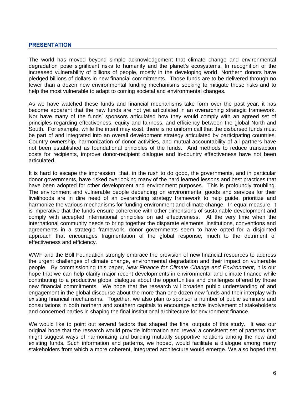#### **PRESENTATION**

The world has moved beyond simple acknowledgement that climate change and environmental degradation pose significant risks to humanity and the planet's ecosystems. In recognition of the increased vulnerability of billions of people, mostly in the developing world, Northern donors have pledged billions of dollars in new financial commitments. Those funds are to be delivered through no fewer than a dozen new environmental funding mechanisms seeking to mitigate these risks and to help the most vulnerable to adapt to coming societal and environmental changes.

As we have watched these funds and financial mechanisms take form over the past year, it has become apparent that the new funds are not yet articulated in an overarching strategic framework. Nor have many of the funds' sponsors articulated how they would comply with an agreed set of principles regarding effectiveness, equity and fairness, and efficiency between the global North and South. For example, while the intent may exist, there is no uniform call that the disbursed funds must be part of and integrated into an overall development strategy articulated by participating countries. Country ownership, harmonization of donor activities, and mutual accountability of all partners have not been established as foundational principles of the funds. And methods to reduce transaction costs for recipients, improve donor-recipient dialogue and in-country effectiveness have not been articulated.

It is hard to escape the impression that, in the rush to do good, the governments, and in particular donor governments, have risked overlooking many of the hard learned lessons and best practices that have been adopted for other development and environment purposes. This is profoundly troubling. The environment and vulnerable people depending on environmental goods and services for their livelihoods are in dire need of an overarching strategy framework to help guide, prioritize and harmonize the various mechanisms for funding environment and climate change. In equal measure, it is imperative that the funds ensure coherence with other dimensions of sustainable development and comply with accepted international principles on aid effectiveness. At the very time when the international community needs to bring together the disparate elements, institutions, conventions and agreements in a strategic framework, donor governments seem to have opted for a disjointed approach that encourages fragmentation of the global response, much to the detriment of effectiveness and efficiency.

WWF and the Böll Foundation strongly embrace the provision of new financial resources to address the urgent challenges of climate change, environmental degradation and their impact on vulnerable people. By commissioning this paper, *New Finance for Climate Change and Environment*, it is our hope that we can help clarify major recent developments in environmental and climate finance while contributing to a productive global dialogue about the opportunities and challenges offered by those new financial commitments. We hope that the research will broaden public understanding of and engagement in the global discourse about the more than one dozen new funds and their interplay with existing financial mechanisms. Together, we also plan to sponsor a number of public seminars and consultations in both northern and southern capitals to encourage active involvement of stakeholders and concerned parties in shaping the final institutional architecture for environment finance.

We would like to point out several factors that shaped the final outputs of this study. It was our original hope that the research would provide information and reveal a consistent set of patterns that might suggest ways of harmonizing and building mutually supportive relations among the new and existing funds. Such information and patterns, we hoped, would facilitate a dialogue among many stakeholders from which a more coherent, integrated architecture would emerge. We also hoped that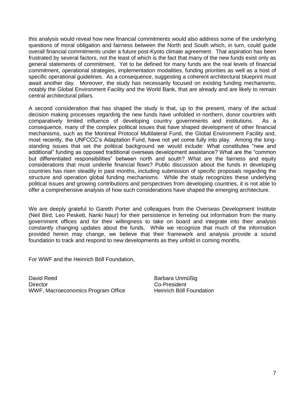this analysis would reveal how new financial commitments would also address some of the underlying questions of moral obligation and fairness between the North and South which, in turn, could guide overall financial commitments under a future post-Kyoto climate agreement. That aspiration has been frustrated by several factors, not the least of which is the fact that many of the new funds exist only as general statements of commitment. Yet to be defined for many funds are the real levels of financial commitment, operational strategies, implementation modalities, funding priorities as well as a host of specific operational guidelines. As a consequence, suggesting a coherent architectural blueprint must await another day. Moreover, the study has necessarily focused on existing funding mechanisms, notably the Global Environment Facility and the World Bank, that are already and are likely to remain central architectural pillars.

A second consideration that has shaped the study is that, up to the present, many of the actual decision making processes regarding the new funds have unfolded in northern, donor countries with comparatively limited influence of developing country governments and institutions. As a consequence, many of the complex political issues that have shaped development of other financial mechanisms, such as the Montreal Protocol Multilateral Fund, the Global Environment Facility and, most recently, the UNFCCC's Adaptation Fund, have not yet come fully into play. Among the longstanding issues that set the political background we would include: What constitutes "new and additional" funding as opposed traditional overseas development assistance? What are the "common but differentiated responsibilities" between north and south? What are the fairness and equity considerations that must underlie financial flows? Public discussion about the funds in developing countries has risen steadily in past months, including submission of specific proposals regarding the structure and operation global funding mechanisms. While the study recognizes these underlying political issues and growing contributions and perspectives from developing countries, it is not able to offer a comprehensive analysis of how such considerations have shaped the emerging architecture.

We are deeply grateful to Gareth Porter and colleagues from the Overseas Development Institute (Neil Bird, Leo Peskett, Nanki Naur) for their persistence in ferreting out information from the many government offices and for their willingness to take on board and integrate into their analysis constantly changing updates about the funds. While we recognize that much of the information provided herein may change, we believe that their framework and analysis provide a sound foundation to track and respond to new developments as they unfold in coming months.

For WWF and the Heinrich Böll Foundation,

David Reed Barbara Unmüßig Director **Co-President** WWF, Macroeconomics Program Office Heinrich Böll Foundation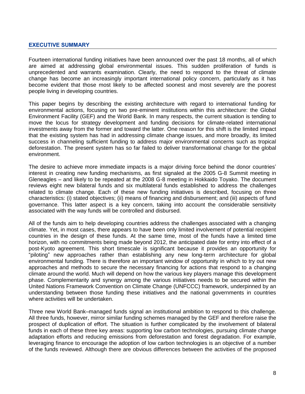#### **EXECUTIVE SUMMARY**

Fourteen international funding initiatives have been announced over the past 18 months, all of which are aimed at addressing global environmental issues. This sudden proliferation of funds is unprecedented and warrants examination. Clearly, the need to respond to the threat of climate change has become an increasingly important international policy concern, particularly as it has become evident that those most likely to be affected soonest and most severely are the poorest people living in developing countries.

This paper begins by describing the existing architecture with regard to international funding for environmental actions, focusing on two pre-eminent institutions within this architecture: the Global Environment Facility (GEF) and the World Bank. In many respects, the current situation is tending to move the locus for strategy development and funding decisions for climate-related international investments away from the former and toward the latter. One reason for this shift is the limited impact that the existing system has had in addressing climate change issues, and more broadly, its limited success in channeling sufficient funding to address major environmental concerns such as tropical deforestation. The present system has so far failed to deliver transformational change for the global environment.

The desire to achieve more immediate impacts is a major driving force behind the donor countries' interest in creating new funding mechanisms, as first signaled at the 2005 G-8 Summit meeting in Gleneagles – and likely to be repeated at the 2008 G-8 meeting in Hokkaido Toyako. The document reviews eight new bilateral funds and six multilateral funds established to address the challenges related to climate change. Each of these new funding initiatives is described, focusing on three characteristics: (i) stated objectives; (ii) means of financing and disbursement; and (iii) aspects of fund governance. This latter aspect is a key concern, taking into account the considerable sensitivity associated with the way funds will be controlled and disbursed.

All of the funds aim to help developing countries address the challenges associated with a changing climate. Yet, in most cases, there appears to have been only limited involvement of potential recipient countries in the design of these funds. At the same time, most of the funds have a limited time horizon, with no commitments being made beyond 2012, the anticipated date for entry into effect of a post-Kyoto agreement. This short timescale is significant because it provides an opportunity for "piloting" new approaches rather than establishing any new long-term architecture for global environmental funding. There is therefore an important window of opportunity in which to try out new approaches and methods to secure the necessary financing for actions that respond to a changing climate around the world. Much will depend on how the various key players manage this development phase. Complementarity and synergy among the various initiatives needs to be secured within the United Nations Framework Convention on Climate Change (UNFCCC) framework, underpinned by an understanding between those funding these initiatives and the national governments in countries where activities will be undertaken.

Three new World Bank–managed funds signal an institutional ambition to respond to this challenge. All three funds, however, mirror similar funding schemes managed by the GEF and therefore raise the prospect of duplication of effort. The situation is further complicated by the involvement of bilateral funds in each of these three key areas: supporting low carbon technologies, pursuing climate change adaptation efforts and reducing emissions from deforestation and forest degradation. For example, leveraging finance to encourage the adoption of low carbon technologies is an objective of a number of the funds reviewed. Although there are obvious differences between the activities of the proposed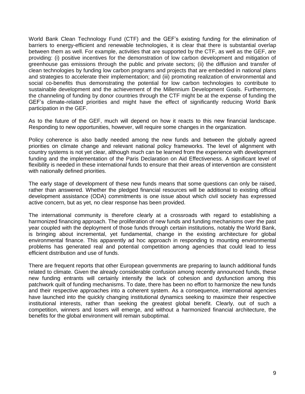World Bank Clean Technology Fund (CTF) and the GEF's existing funding for the elimination of barriers to energy-efficient and renewable technologies, it is clear that there is substantial overlap between them as well. For example, activities that are supported by the CTF, as well as the GEF, are providing: (i) positive incentives for the demonstration of low carbon development and mitigation of greenhouse gas emissions through the public and private sectors; (ii) the diffusion and transfer of clean technologies by funding low carbon programs and projects that are embedded in national plans and strategies to accelerate their implementation; and (iii) promoting realization of environmental and social co-benefits thus demonstrating the potential for low carbon technologies to contribute to sustainable development and the achievement of the Millennium Development Goals. Furthermore, the channeling of funding by donor countries through the CTF might be at the expense of funding the GEF's climate-related priorities and might have the effect of significantly reducing World Bank participation in the GEF.

As to the future of the GEF, much will depend on how it reacts to this new financial landscape. Responding to new opportunities, however, will require some changes in the organization.

Policy coherence is also badly needed among the new funds and between the globally agreed priorities on climate change and relevant national policy frameworks. The level of alignment with country systems is not yet clear, although much can be learned from the experience with development funding and the implementation of the Paris Declaration on Aid Effectiveness. A significant level of flexibility is needed in these international funds to ensure that their areas of intervention are consistent with nationally defined priorities.

The early stage of development of these new funds means that some questions can only be raised, rather than answered. Whether the pledged financial resources will be additional to existing official development assistance (ODA) commitments is one issue about which civil society has expressed active concern, but as yet, no clear response has been provided.

The international community is therefore clearly at a crossroads with regard to establishing a harmonized financing approach. The proliferation of new funds and funding mechanisms over the past year coupled with the deployment of those funds through certain institutions, notably the World Bank, is bringing about incremental, yet fundamental, change in the existing architecture for global environmental finance. This apparently ad hoc approach in responding to mounting environmental problems has generated real and potential competition among agencies that could lead to less efficient distribution and use of funds.

There are frequent reports that other European governments are preparing to launch additional funds related to climate. Given the already considerable confusion among recently announced funds, these new funding entrants will certainly intensify the lack of cohesion and dysfunction among this patchwork quilt of funding mechanisms. To date, there has been no effort to harmonize the new funds and their respective approaches into a coherent system. As a consequence, international agencies have launched into the quickly changing institutional dynamics seeking to maximize their respective institutional interests, rather than seeking the greatest global benefit. Clearly, out of such a competition, winners and losers will emerge, and without a harmonized financial architecture, the benefits for the global environment will remain suboptimal.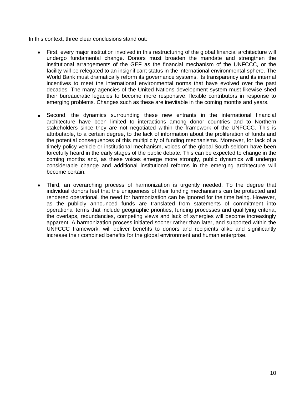In this context, three clear conclusions stand out:

- First, every major institution involved in this restructuring of the global financial architecture will undergo fundamental change. Donors must broaden the mandate and strengthen the institutional arrangements of the GEF as the financial mechanism of the UNFCCC, or the facility will be relegated to an insignificant status in the international environmental sphere. The World Bank must dramatically reform its governance systems, its transparency and its internal incentives to meet the international environmental norms that have evolved over the past decades. The many agencies of the United Nations development system must likewise shed their bureaucratic legacies to become more responsive, flexible contributors in response to emerging problems. Changes such as these are inevitable in the coming months and years.
- Second, the dynamics surrounding these new entrants in the international financial  $\bullet$ architecture have been limited to interactions among donor countries and to Northern stakeholders since they are not negotiated within the framework of the UNFCCC. This is attributable, to a certain degree, to the lack of information about the proliferation of funds and the potential consequences of this multiplicity of funding mechanisms. Moreover, for lack of a timely policy vehicle or institutional mechanism, voices of the global South seldom have been forcefully heard in the early stages of the public debate. This can be expected to change in the coming months and, as these voices emerge more strongly, public dynamics will undergo considerable change and additional institutional reforms in the emerging architecture will become certain.
- Third, an overarching process of harmonization is urgently needed. To the degree that individual donors feel that the uniqueness of their funding mechanisms can be protected and rendered operational, the need for harmonization can be ignored for the time being. However, as the publicly announced funds are translated from statements of commitment into operational terms that include geographic priorities, funding processes and qualifying criteria, the overlaps, redundancies, competing views and lack of synergies will become increasingly apparent. A harmonization process initiated sooner rather than later, and supported within the UNFCCC framework, will deliver benefits to donors and recipients alike and significantly increase their combined benefits for the global environment and human enterprise.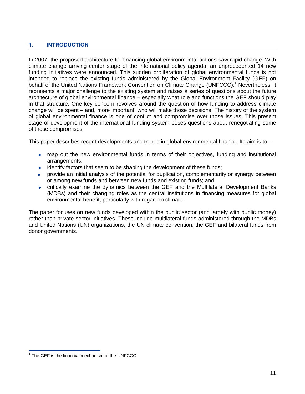# **1. INTRODUCTION**

In 2007, the proposed architecture for financing global environmental actions saw rapid change. With climate change arriving center stage of the international policy agenda, an unprecedented 14 new funding initiatives were announced. This sudden proliferation of global environmental funds is not intended to replace the existing funds administered by the Global Environment Facility (GEF) on behalf of the United Nations Framework Convention on Climate Change (UNFCCC).<sup>1</sup> Nevertheless, it represents a major challenge to the existing system and raises a series of questions about the future architecture of global environmental finance – especially what role and functions the GEF should play in that structure. One key concern revolves around the question of how funding to address climate change will be spent – and, more important, who will make those decisions. The history of the system of global environmental finance is one of conflict and compromise over those issues. This present stage of development of the international funding system poses questions about renegotiating some of those compromises.

This paper describes recent developments and trends in global environmental finance. Its aim is to—

- map out the new environmental funds in terms of their objectives, funding and institutional arrangements;
- identify factors that seem to be shaping the development of these funds;
- provide an initial analysis of the potential for duplication, complementarity or synergy between  $\bullet$ or among new funds and between new funds and existing funds; and
- critically examine the dynamics between the GEF and the Multilateral Development Banks  $\bullet$ (MDBs) and their changing roles as the central institutions in financing measures for global environmental benefit, particularly with regard to climate.

The paper focuses on new funds developed within the public sector (and largely with public money) rather than private sector initiatives. These include multilateral funds administered through the MDBs and United Nations (UN) organizations, the UN climate convention, the GEF and bilateral funds from donor governments.

j  $1$  The GEF is the financial mechanism of the UNFCCC.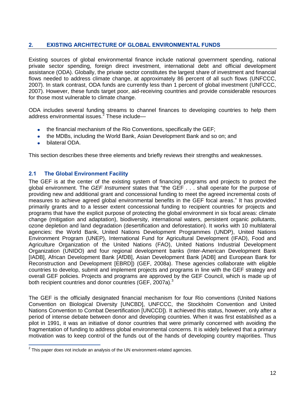# **2. EXISTING ARCHITECTURE OF GLOBAL ENVIRONMENTAL FUNDS**

Existing sources of global environmental finance include national government spending, national private sector spending, foreign direct investment, international debt and official development assistance (ODA). Globally, the private sector constitutes the largest share of investment and financial flows needed to address climate change, at approximately 86 percent of all such flows (UNFCCC, 2007). In stark contrast, ODA funds are currently less than 1 percent of global investment (UNFCCC, 2007). However, these funds target poor, aid-receiving countries and provide considerable resources for those most vulnerable to climate change.

ODA includes several funding streams to channel finances to developing countries to help them address environmental issues. $2$  These include—

- the financial mechanism of the Rio Conventions, specifically the GEF;
- the MDBs, including the World Bank, Asian Development Bank and so on; and
- bilateral ODA.

This section describes these three elements and briefly reviews their strengths and weaknesses.

# **2.1 The Global Environment Facility**

The GEF is at the center of the existing system of financing programs and projects to protect the global environment. The *GEF Instrument* states that "the GEF . . . shall operate for the purpose of providing new and additional grant and concessional funding to meet the agreed incremental costs of measures to achieve agreed global environmental benefits in the GEF focal areas." It has provided primarily grants and to a lesser extent concessional funding to recipient countries for projects and programs that have the explicit purpose of protecting the global environment in six focal areas: climate change (mitigation and adaptation), biodiversity, international waters, persistent organic pollutants, ozone depletion and land degradation (desertification and deforestation). It works with 10 multilateral agencies: the World Bank, United Nations Development Programmes (UNDP), United Nations Environment Program (UNEP), International Fund for Agricultural Development (IFAD), Food and Agriculture Organization of the United Nations (FAO), United Nations Industrial Development Organization (UNIDO) and four regional development banks (Inter-American Development Bank [IADB], African Development Bank [AfDB], Asian Development Bank [ADB] and European Bank for Reconstruction and Development [EBRD]) (GEF, 2008a). These agencies collaborate with eligible countries to develop, submit and implement projects and programs in line with the GEF strategy and overall GEF policies. Projects and programs are approved by the GEF Council, which is made up of both recipient countries and donor countries (GEF, 2007a).<sup>3</sup>

The GEF is the officially designated financial mechanism for four Rio conventions (United Nations Convention on Biological Diversity [UNCBD], UNFCCC, the Stockholm Convention and United Nations Convention to Combat Desertification [UNCCD]). It achieved this status, however, only after a period of intense debate between donor and developing countries. When it was first established as a pilot in 1991, it was an initiative of donor countries that were primarily concerned with avoiding the fragmentation of funding to address global environmental concerns. It is widely believed that a primary motivation was to keep control of the funds out of the hands of developing country majorities. Thus

 2 This paper does not include an analysis of the UN environment-related agencies.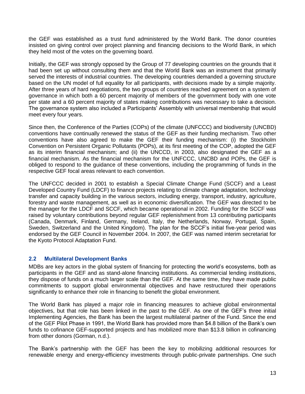the GEF was established as a trust fund administered by the World Bank. The donor countries insisted on giving control over project planning and financing decisions to the World Bank, in which they held most of the votes on the governing board.

Initially, the GEF was strongly opposed by the Group of 77 developing countries on the grounds that it had been set up without consulting them and that the World Bank was an instrument that primarily served the interests of industrial countries. The developing countries demanded a governing structure based on the UN model of full equality for all participants, with decisions made by a simple majority. After three years of hard negotiations, the two groups of countries reached agreement on a system of governance in which both a 60 percent majority of members of the government body with one vote per state and a 60 percent majority of states making contributions was necessary to take a decision. The governance system also included a Participants' Assembly with universal membership that would meet every four years.

Since then, the Conference of the Parties (COPs) of the climate (UNFCCC) and biodiversity (UNCBD) conventions have continually renewed the status of the GEF as their funding mechanism. Two other conventions have also agreed to make the GEF their funding mechanism: (i) the Stockholm Convention on Persistent Organic Pollutants (POPs), at its first meeting of the COP, adopted the GEF as its interim financial mechanism; and (ii) the UNCCD, in 2003, also designated the GEF as a financial mechanism. As the financial mechanism for the UNFCCC, UNCBD and POPs, the GEF is obliged to respond to the guidance of these conventions, including the programming of funds in the respective GEF focal areas relevant to each convention.

The UNFCCC decided in 2001 to establish a Special Climate Change Fund (SCCF) and a Least Developed Country Fund (LDCF) to finance projects relating to climate change adaptation, technology transfer and capacity building in the various sectors, including energy, transport, industry, agriculture, forestry and waste management, as well as in economic diversification. The GEF was directed to be the manager for the LDCF and SCCF, which became operational in 2002. Funding for the SCCF was raised by voluntary contributions beyond regular GEF replenishment from 13 contributing participants (Canada, Denmark, Finland, Germany, Ireland, Italy, the Netherlands, Norway, Portugal, Spain, Sweden, Switzerland and the United Kingdom). The plan for the SCCF's initial five-year period was endorsed by the GEF Council in November 2004. In 2007, the GEF was named interim secretariat for the Kyoto Protocol Adaptation Fund.

## **2.2 Multilateral Development Banks**

MDBs are key actors in the global system of financing for protecting the world's ecosystems, both as participants in the GEF and as stand-alone financing institutions. As commercial lending institutions, they dispose of funds on a much larger scale than the GEF. At the same time, they have made public commitments to support global environmental objectives and have restructured their operations significantly to enhance their role in financing to benefit the global environment.

The World Bank has played a major role in financing measures to achieve global environmental objectives, but that role has been linked in the past to the GEF. As one of the GEF's three initial Implementing Agencies, the Bank has been the largest multilateral partner of the Fund. Since the end of the GEF Pilot Phase in 1991, the World Bank has provided more than \$4.8 billion of the Bank's own funds to cofinance GEF-supported projects and has mobilized more than \$13.8 billion in cofinancing from other donors (Gorman, n.d.).

The Bank's partnership with the GEF has been the key to mobilizing additional resources for renewable energy and energy-efficiency investments through public-private partnerships. One such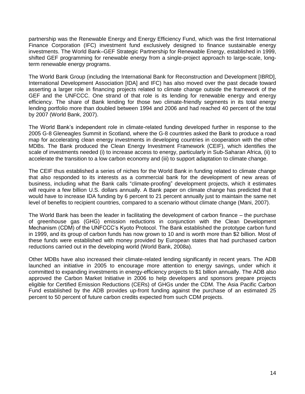partnership was the Renewable Energy and Energy Efficiency Fund, which was the first International Finance Corporation (IFC) investment fund exclusively designed to finance sustainable energy investments. The World Bank–GEF Strategic Partnership for Renewable Energy, established in 1999, shifted GEF programming for renewable energy from a single-project approach to large-scale, longterm renewable energy programs.

The World Bank Group (including the International Bank for Reconstruction and Development [IBRD], International Development Association [IDA] and IFC) has also moved over the past decade toward asserting a larger role in financing projects related to climate change outside the framework of the GEF and the UNFCCC. One strand of that role is its lending for renewable energy and energy efficiency. The share of Bank lending for those two climate-friendly segments in its total energy lending portfolio more than doubled between 1994 and 2006 and had reached 40 percent of the total by 2007 (World Bank, 2007).

The World Bank's independent role in climate-related funding developed further in response to the 2005 G-8 Gleneagles Summit in Scotland, where the G-8 countries asked the Bank to produce a road map for accelerating clean energy investments in developing countries in cooperation with the other MDBs. The Bank produced the Clean Energy Investment Framework (CEIF), which identifies the scale of investments needed (i) to increase access to energy, particularly in Sub-Saharan Africa, (ii) to accelerate the transition to a low carbon economy and (iii) to support adaptation to climate change.

The CEIF thus established a series of niches for the World Bank in funding related to climate change that also responded to its interests as a commercial bank for the development of new areas of business, including what the Bank calls "climate-proofing" development projects, which it estimates will require a few billion U.S. dollars annually. A Bank paper on climate change has predicted that it would have to increase IDA funding by 6 percent to 21 percent annually just to maintain the same net level of benefits to recipient countries, compared to a scenario without climate change (Mani, 2007).

The World Bank has been the leader in facilitating the development of carbon finance – the purchase of greenhouse gas (GHG) emission reductions in conjunction with the Clean Development Mechanism (CDM) of the UNFCCC's Kyoto Protocol. The Bank established the prototype carbon fund in 1999, and its group of carbon funds has now grown to 10 and is worth more than \$2 billion. Most of these funds were established with money provided by European states that had purchased carbon reductions carried out in the developing world (World Bank, 2008a).

Other MDBs have also increased their climate-related lending significantly in recent years. The ADB launched an initiative in 2005 to encourage more attention to energy savings, under which it committed to expanding investments in energy-efficiency projects to \$1 billion annually. The ADB also approved the Carbon Market Initiative in 2006 to help developers and sponsors prepare projects eligible for Certified Emission Reductions (CERs) of GHGs under the CDM. The Asia Pacific Carbon Fund established by the ADB provides up-front funding against the purchase of an estimated 25 percent to 50 percent of future carbon credits expected from such CDM projects.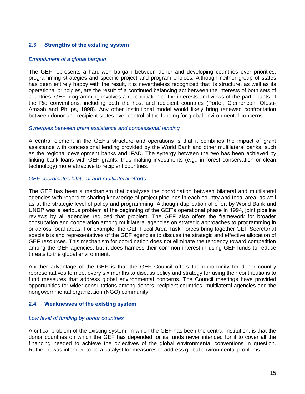# **2.3 Strengths of the existing system**

#### *Embodiment of a global bargain*

The GEF represents a hard-won bargain between donor and developing countries over priorities, programming strategies and specific project and program choices. Although neither group of states has been entirely happy with the result, it is nevertheless recognized that its structure, as well as its operational principles, are the result of a continued balancing act between the interests of both sets of countries. GEF programming involves a reconciliation of the interests and views of the participants of the Rio conventions, including both the host and recipient countries (Porter, Clemencon, Ofosu-Amaah and Philips, 1998). Any other institutional model would likely bring renewed confrontation between donor and recipient states over control of the funding for global environmental concerns.

#### *Synergies between grant assistance and concessional lending*

A central element in the GEF's structure and operations is that it combines the impact of grant assistance with concessional lending provided by the World Bank and other multilateral banks, such as the regional development banks and IFAD. The synergy between the two has been achieved by linking bank loans with GEF grants, thus making investments (e.g., in forest conservation or clean technology) more attractive to recipient countries.

#### *GEF coordinates bilateral and multilateral efforts*

The GEF has been a mechanism that catalyzes the coordination between bilateral and multilateral agencies with regard to sharing knowledge of project pipelines in each country and focal area, as well as at the strategic level of policy and programming. Although duplication of effort by World Bank and UNDP was a serious problem at the beginning of the GEF's operational phase in 1994, joint pipeline reviews by all agencies reduced that problem. The GEF also offers the framework for broader consultation and cooperation among multilateral agencies on strategic approaches to programming in or across focal areas. For example, the GEF Focal Area Task Forces bring together GEF Secretariat specialists and representatives of the GEF agencies to discuss the strategic and effective allocation of GEF resources. This mechanism for coordination does not eliminate the tendency toward competition among the GEF agencies, but it does harness their common interest in using GEF funds to reduce threats to the global environment.

Another advantage of the GEF is that the GEF Council offers the opportunity for donor country representatives to meet every six months to discuss policy and strategy for using their contributions to fund measures that address global environmental concerns. The Council meetings have provided opportunities for wider consultations among donors, recipient countries, multilateral agencies and the nongovernmental organization (NGO) community.

## **2.4 Weaknesses of the existing system**

#### *Low level of funding by donor countries*

A critical problem of the existing system, in which the GEF has been the central institution, is that the donor countries on which the GEF has depended for its funds never intended for it to cover all the financing needed to achieve the objectives of the global environmental conventions in question. Rather, it was intended to be a catalyst for measures to address global environmental problems.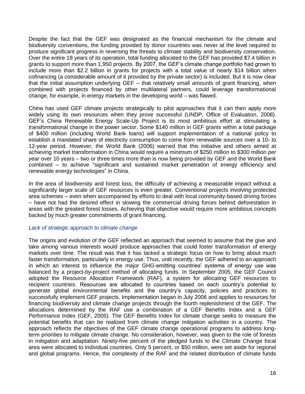Despite the fact that the GEF was designated as the financial mechanism for the climate and biodiversity conventions, the funding provided by donor countries was never at the level required to produce significant progress in reversing the threats to climate stability and biodiversity conservation. Over the entire 18 years of its operation, total funding allocated to the GEF has provided \$7.4 billion in grants to support more than 1,950 projects. By 2007, the GEF's climate change portfolio had grown to include more than \$2.2 billion in grants for projects with a total value of nearly \$14 billion when cofinancing (a considerable amount of it provided by the private sector) is included. But it is now clear that the initial assumption underlying GEF – that relatively small amounts of grant financing, when combined with projects financed by other multilateral partners, could leverage transformational change, for example, in energy markets in the developing world – was flawed.

China has used GEF climate projects strategically to pilot approaches that it can then apply more widely using its own resources when they prove successful (UNDP, Office of Evaluation, 2008). GEF's China Renewable Energy Scale-Up Project is its most ambitious effort at stimulating a transformational change in the power sector. Some \$140 million in GEF grants within a total package of \$400 million (including World Bank loans) will support implementation of a national policy to establish a mandated share of electricity consumption to come from renewable sources over a 10- to 12-year period. However, the World Bank (2006) warned that this initiative and others aimed at achieving market transformation in China would require a minimum of \$250 million to \$300 million *per year* over 10 years – two or three times more than is now being provided by GEF and the World Bank combined – to achieve "significant and sustained market penetration of energy efficiency and renewable energy technologies" in China.

In the area of biodiversity and forest loss, the difficulty of achieving a measurable impact without a significantly larger scale of GEF resources is even greater. Conventional projects involving protected area schemes – even when accompanied by efforts to deal with local community-based driving forces – have not had the desired effect in slowing the commercial driving forces behind deforestation in areas with the greatest forest losses. Achieving that objective would require more ambitious concepts backed by much greater commitments of grant financing.

## *Lack of strategic approach to climate change*

The origins and evolution of the GEF reflected an approach that seemed to assume that the give and take among various interests would produce approaches that could foster transformation of energy markets over time. The result was that it has lacked a strategic focus on how to bring about much faster transformation, particularly in energy use. Thus, until recently, the GEF adhered to an approach in which an interest to influence the major GHG-emitting countries' systems of energy use was balanced by a project-by-project method of allocating funds. In September 2005, the GEF Council adopted the Resource Allocation Framework (RAF), a system for allocating GEF resources to recipient countries. Resources are allocated to countries based on each country's potential to generate global environmental benefits and the country's capacity, policies and practices to successfully implement GEF projects. Implementation began in July 2006 and applies to resources for financing biodiversity and climate change projects through the fourth replenishment of the GEF. The allocations determined by the RAF use a combination of a GEF Benefits Index and a GEF Performance Index (GEF, 2005). The GEF Benefits Index for climate change seeks to measure the potential benefits that can be realized from climate change mitigation activities in a country. The approach reflects the objectives of the GEF climate change operational programs to address longterm priorities to mitigate climate change. No consideration, however, was given to the role of forests in mitigation and adaptation. Ninety-five percent of the pledged funds to the Climate Change focal area were allocated to individual countries. Only 5 percent, or \$50 million, were set aside for regional and global programs. Hence, the complexity of the RAF and the related distribution of climate funds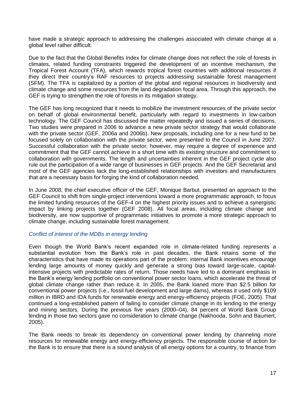have made a strategic approach to addressing the challenges associated with climate change at a global level rather difficult.

Due to the fact that the Global Benefits Index for climate change does not reflect the role of forests in climates, related funding constraints triggered the development of an incentive mechanism, the Tropical Forest Account (TFA), which rewards tropical forest countries with additional resources if they direct their country's RAF resources to projects addressing sustainable forest management (SFM). The TFA is capitalized by a portion of the global and regional resources in biodiversity and climate change and some resources from the land degradation focal area. Through this approach, the GEF is trying to strengthen the role of forests in its mitigation strategy.

The GEF has long recognized that it needs to mobilize the investment resources of the private sector on behalf of global environmental benefit, particularly with regard to investments in low-carbon technology. The GEF Council has discussed the matter repeatedly and issued a series of decisions. Two studies were prepared in 2006 to advance a new private sector strategy that would collaborate with the private sector (GEF, 2006a and 2006b). New proposals, including one for a new fund to be focused solely on collaboration with the private sector, were presented to the Council in June 2007. Successful collaboration with the private sector, however, may require a degree of experience and commitment that the GEF cannot achieve in a short time with its existing structure and commitment to collaboration with governments. The length and uncertainties inherent in the GEF project cycle also rule out the participation of a wide range of businesses in GEF projects. And the GEF Secretariat and most of the GEF agencies lack the long-established relationships with investors and manufacturers that are a necessary basis for forging the kind of collaboration needed.

In June 2008, the chief executive officer of the GEF, Monique Barbut, presented an approach to the GEF Council to shift from single-project interventions toward a more programmatic approach, to focus the limited funding resources of the GEF-4 on the highest priority issues and to achieve a synergistic impact by linking projects together (GEF 2008). All focal areas, including climate change and biodiversity, are now supportive of programmatic initiatives to promote a more strategic approach to climate change, including sustainable forest management.

## *Conflict of interest of the MDBs in energy lending*

Even though the World Bank's recent expanded role in climate-related funding represents a substantial evolution from the Bank's role in past decades, the Bank retains some of the characteristics that have made its operations part of the problem: internal Bank incentives encourage lending large amounts of money quickly and generate a strong bias toward large-scale, capitalintensive projects with predictable rates of return. Those needs have led to a dominant emphasis in the Bank's energy lending portfolio on conventional power sector loans, which accelerate the threat of global climate change rather than reduce it. In 2005, the Bank loaned more than \$2.5 billion for conventional power projects (i.e., fossil fuel development and large dams), whereas it used only \$109 million in IBRD and IDA funds for renewable energy and energy-efficiency projects (FOE, 2005). That continued a long-established pattern of failing to consider climate change in its lending to the energy and mining sectors. During the previous five years (2000–04), 84 percent of World Bank Group lending in those two sectors gave no consideration to climate change (Nakhooda, Sohn and Baumert, 2005).

The Bank needs to break its dependency on conventional power lending by channeling more resources for renewable energy and energy-efficiency projects. The responsible course of action for the Bank is to ensure that there is a sound analysis of all energy options for a country, to finance from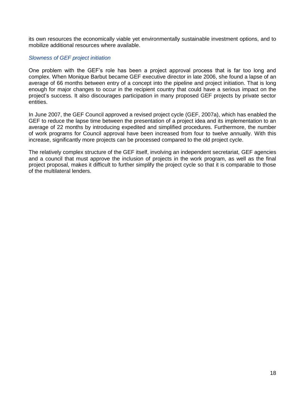its own resources the economically viable yet environmentally sustainable investment options, and to mobilize additional resources where available.

#### *Slowness of GEF project initiation*

One problem with the GEF's role has been a project approval process that is far too long and complex. When Monique Barbut became GEF executive director in late 2006, she found a lapse of an average of 66 months between entry of a concept into the pipeline and project initiation. That is long enough for major changes to occur in the recipient country that could have a serious impact on the project's success. It also discourages participation in many proposed GEF projects by private sector entities.

In June 2007, the GEF Council approved a revised project cycle (GEF, 2007a), which has enabled the GEF to reduce the lapse time between the presentation of a project idea and its implementation to an average of 22 months by introducing expedited and simplified procedures. Furthermore, the number of work programs for Council approval have been increased from four to twelve annually. With this increase, significantly more projects can be processed compared to the old project cycle.

The relatively complex structure of the GEF itself, involving an independent secretariat, GEF agencies and a council that must approve the inclusion of projects in the work program, as well as the final project proposal, makes it difficult to further simplify the project cycle so that it is comparable to those of the multilateral lenders.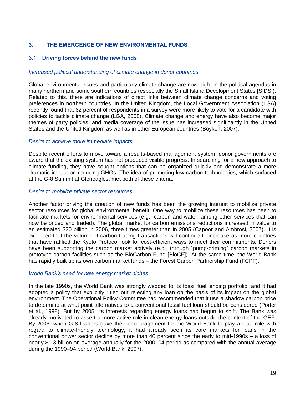# **3. THE EMERGENCE OF NEW ENVIRONMENTAL FUNDS**

## **3.1 Driving forces behind the new funds**

#### *Increased political understanding of climate change in donor countries*

Global environmental issues and particularly climate change are now high on the political agendas in many northern and some southern countries (especially the Small Island Development States [SIDS]). Related to this, there are indications of direct links between climate change concerns and voting preferences in northern countries. In the United Kingdom, the Local Government Association (LGA) recently found that 62 percent of respondents in a survey were more likely to vote for a candidate with policies to tackle climate change (LGA, 2008). Climate change and energy have also become major themes of party policies, and media coverage of the issue has increased significantly in the United States and the United Kingdom as well as in other European countries (Boykoff, 2007).

#### *Desire to achieve more immediate impacts*

Despite recent efforts to move toward a results-based management system, donor governments are aware that the existing system has not produced visible progress. In searching for a new approach to climate funding, they have sought options that can be organized quickly and demonstrate a more dramatic impact on reducing GHGs. The idea of promoting low carbon technologies, which surfaced at the G-8 Summit at Gleneagles, met both of these criteria.

#### *Desire to mobilize private sector resources*

Another factor driving the creation of new funds has been the growing interest to mobilize private sector resources for global environmental benefit. One way to mobilize these resources has been to facilitate markets for environmental services (e.g., carbon and water, among other services that can now be priced and traded). The global market for carbon emissions reductions increased in value to an estimated \$30 billion in 2006, three times greater than in 2005 (Capoor and Ambrosi, 2007). It is expected that the volume of carbon trading transactions will continue to increase as more countries that have ratified the Kyoto Protocol look for cost-efficient ways to meet their commitments. Donors have been supporting the carbon market actively (e.g., through "pump-priming" carbon markets in prototype carbon facilities such as the BioCarbon Fund [BioCF]). At the same time, the World Bank has rapidly built up its own carbon market funds – the Forest Carbon Partnership Fund (FCPF).

#### *World Bank's need for new energy market niches*

In the late 1990s, the World Bank was strongly wedded to its fossil fuel lending portfolio, and it had adopted a policy that explicitly ruled out rejecting any loan on the basis of its impact on the global environment. The Operational Policy Committee had recommended that it use a shadow carbon price to determine at what point alternatives to a conventional fossil fuel loan should be considered (Porter et al., 1998). But by 2005, its interests regarding energy loans had begun to shift. The Bank was already motivated to assert a more active role in clean energy loans outside the context of the GEF. By 2005, when G-8 leaders gave their encouragement for the World Bank to play a lead role with regard to climate-friendly technology, it had already seen its core markets for loans in the conventional power sector decline by more than 40 percent since the early to mid-1990s – a loss of nearly \$1.3 billion on average annually for the 2000–04 period as compared with the annual average during the 1990–94 period (World Bank, 2007).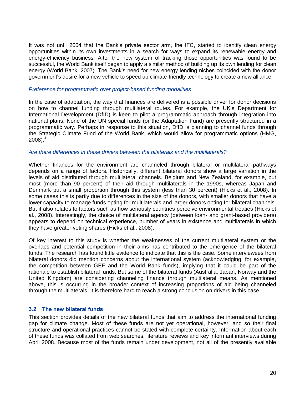It was not until 2004 that the Bank's private sector arm, the IFC, started to identify clean energy opportunities within its own investments in a search for ways to expand its renewable energy and energy-efficiency business. After the new system of tracking those opportunities was found to be successful, the World Bank itself began to apply a similar method of building up its own lending for clean energy (World Bank, 2007). The Bank's need for new energy lending niches coincided with the donor government's desire for a new vehicle to speed up climate-friendly technology to create a new alliance.

#### *Preference for programmatic over project-based funding modalities*

In the case of adaptation, the way that finances are delivered is a possible driver for donor decisions on how to channel funding through multilateral routes. For example, the UK's Department for International Development (DfID) is keen to pilot a programmatic approach through integration into national plans. None of the UN special funds (or the Adaptation Fund) are presently structured in a programmatic way. Perhaps in response to this situation, DfID is planning to channel funds through the Strategic Climate Fund of the World Bank, which would allow for programmatic options (HMG, 2008). 4

#### *Are there differences in these drivers between the bilaterals and the multilaterals?*

Whether finances for the environment are channeled through bilateral or multilateral pathways depends on a range of factors. Historically, different bilateral donors show a large variation in the levels of aid distributed through multilateral channels. Belgium and New Zealand, for example, put most (more than 90 percent) of their aid through multilaterals in the 1990s, whereas Japan and Denmark put a small proportion through this system (less than 30 percent) (Hicks et al., 2008). In some cases this is partly due to differences in the size of the donors, with smaller donors that have a lower capacity to manage funds opting for multilaterals and larger donors opting for bilateral channels. But it also relates to factors such as how seriously countries perceive environmental treaties (Hicks et al., 2008). Interestingly, the choice of multilateral agency (between loan- and grant-based providers) appears to depend on technical experience, number of years in existence and multilaterals in which they have greater voting shares (Hicks et al., 2008).

Of key interest to this study is whether the weaknesses of the current multilateral system or the overlaps and potential competition in their aims has contributed to the emergence of the bilateral funds. The research has found little evidence to indicate that this is the case. Some interviewees from bilateral donors did mention concerns about the international system (acknowledging, for example, the competition between GEF and the World Bank funds), implying that it could be part of the rationale to establish bilateral funds. But some of the bilateral funds (Australia, Japan, Norway and the United Kingdom) are considering channeling finance through multilateral means. As mentioned above, this is occurring in the broader context of increasing proportions of aid being channeled through the multilaterals. It is therefore hard to reach a strong conclusion on drivers in this case.

## **3.2 The new bilateral funds**

j

This section provides details of the new bilateral funds that aim to address the international funding gap for climate change. Most of these funds are not yet operational, however, and so their final structure and operational practices cannot be stated with complete certainty. Information about each of these funds was collated from web searches, literature reviews and key informant interviews during April 2008. Because most of the funds remain under development, not all of the presently available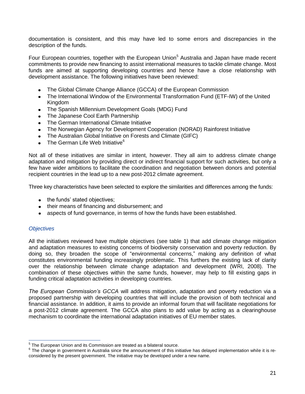documentation is consistent, and this may have led to some errors and discrepancies in the description of the funds.

Four European countries, together with the European Union<sup>5</sup> Australia and Japan have made recent commitments to provide new financing to assist international measures to tackle climate change. Most funds are aimed at supporting developing countries and hence have a close relationship with development assistance. The following initiatives have been reviewed:

- $\bullet$ The Global Climate Change Alliance (GCCA) of the European Commission
- The International Window of the Environmental Transformation Fund (ETF-IW) of the United Kingdom
- The Spanish Millennium Development Goals (MDG) Fund
- The Japanese Cool Earth Partnership  $\bullet$
- The German International Climate Initiative  $\bullet$
- The Norwegian Agency for Development Cooperation (NORAD) Rainforest Initiative
- The Australian Global Initiative on Forests and Climate (GIFC)
- The German Life Web Initiative<sup>6</sup>  $\bullet$

Not all of these initiatives are similar in intent, however. They all aim to address climate change adaptation and mitigation by providing direct or indirect financial support for such activities, but only a few have wider ambitions to facilitate the coordination and negotiation between donors and potential recipient countries in the lead up to a new post-2012 climate agreement.

Three key characteristics have been selected to explore the similarities and differences among the funds:

- the funds' stated objectives;
- their means of financing and disbursement; and
- aspects of fund governance, in terms of how the funds have been established.  $\bullet$

# *Objectives*

All the initiatives reviewed have multiple objectives (see table 1) that add climate change mitigation and adaptation measures to existing concerns of biodiversity conservation and poverty reduction. By doing so, they broaden the scope of "environmental concerns," making any definition of what constitutes environmental funding increasingly problematic. This furthers the existing lack of clarity over the relationship between climate change adaptation and development (WRI, 2008). The combination of these objectives within the same funds, however, may help to fill existing gaps in funding critical adaptation activities in developing countries.

*The European Commission's GCCA* will address mitigation, adaptation and poverty reduction via a proposed partnership with developing countries that will include the provision of both technical and financial assistance. In addition, it aims to provide an informal forum that will facilitate negotiations for a post-2012 climate agreement. The GCCA also plans to add value by acting as a clearinghouse mechanism to coordinate the international adaptation initiatives of EU member states.

 5 The European Union and its Commission are treated as a bilateral source.

 $6$  The change in government in Australia since the announcement of this initiative has delayed implementation while it is reconsidered by the present government. The initiative may be developed under a new name.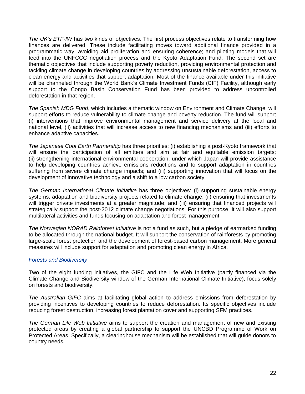*The UK's ETF-IW* has two kinds of objectives. The first process objectives relate to transforming how finances are delivered. These include facilitating moves toward additional finance provided in a programmatic way; avoiding aid proliferation and ensuring coherence; and piloting models that will feed into the UNFCCC negotiation process and the Kyoto Adaptation Fund. The second set are thematic objectives that include supporting poverty reduction, providing environmental protection and tackling climate change in developing countries by addressing unsustainable deforestation, access to clean energy and activities that support adaptation. Most of the finance available under this initiative will be channeled through the World Bank's Climate Investment Funds (CIF) Facility, although early support to the Congo Basin Conservation Fund has been provided to address uncontrolled deforestation in that region.

*The Spanish MDG Fund*, which includes a thematic window on Environment and Climate Change, will support efforts to reduce vulnerability to climate change and poverty reduction. The fund will support (i) interventions that improve environmental management and service delivery at the local and national level, (ii) activities that will increase access to new financing mechanisms and (iii) efforts to enhance adaptive capacities.

*The Japanese Cool Earth Partnership* has three priorities: (i) establishing a post-Kyoto framework that will ensure the participation of all emitters and aim at fair and equitable emission targets; (ii) strengthening international environmental cooperation, under which Japan will provide assistance to help developing countries achieve emissions reductions and to support adaptation in countries suffering from severe climate change impacts; and (iii) supporting innovation that will focus on the development of innovative technology and a shift to a low carbon society.

*The German International Climate Initiative* has three objectives: (i) supporting sustainable energy systems, adaptation and biodiversity projects related to climate change; (ii) ensuring that investments will trigger private investments at a greater magnitude; and (iii) ensuring that financed projects will strategically support the post-2012 climate change negotiations. For this purpose, it will also support multilateral activities and funds focusing on adaptation and forest management.

*The Norwegian NORAD Rainforest Initiative* is not a fund as such, but a pledge of earmarked funding to be allocated through the national budget. It will support the conservation of rainforests by promoting large-scale forest protection and the development of forest-based carbon management. More general measures will include support for adaptation and promoting clean energy in Africa.

# *Forests and Biodiversity*

Two of the eight funding initiatives, the GIFC and the Life Web Initiative (partly financed via the Climate Change and Biodiversity window of the German International Climate Initiative), focus solely on forests and biodiversity.

*The Australian GIFC* aims at facilitating global action to address emissions from deforestation by providing incentives to developing countries to reduce deforestation. Its specific objectives include reducing forest destruction, increasing forest plantation cover and supporting SFM practices.

*The German Life Web Initiative* aims to support the creation and management of new and existing protected areas by creating a global partnership to support the UNCBD Programme of Work on Protected Areas. Specifically, a clearinghouse mechanism will be established that will guide donors to country needs.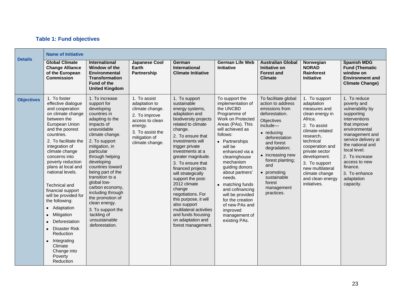# **Table 1: Fund objectives**

|                   | <b>Name of Initiative</b>                                                                                                                                                                                                                                                                                                                                                                                                                                                                                                                      |                                                                                                                                                                                                                                                                                                                                                                                                                                                 |                                                                                                                                                         |                                                                                                                                                                                                                                                                                                                                                                                                                                                                                                            |                                                                                                                                                                                                                                                                                                                                                                                                                                             |                                                                                                                                                                                                                                                                                                 |                                                                                                                                                                                                                                                                                        |                                                                                                                                                                                                                                                                                         |
|-------------------|------------------------------------------------------------------------------------------------------------------------------------------------------------------------------------------------------------------------------------------------------------------------------------------------------------------------------------------------------------------------------------------------------------------------------------------------------------------------------------------------------------------------------------------------|-------------------------------------------------------------------------------------------------------------------------------------------------------------------------------------------------------------------------------------------------------------------------------------------------------------------------------------------------------------------------------------------------------------------------------------------------|---------------------------------------------------------------------------------------------------------------------------------------------------------|------------------------------------------------------------------------------------------------------------------------------------------------------------------------------------------------------------------------------------------------------------------------------------------------------------------------------------------------------------------------------------------------------------------------------------------------------------------------------------------------------------|---------------------------------------------------------------------------------------------------------------------------------------------------------------------------------------------------------------------------------------------------------------------------------------------------------------------------------------------------------------------------------------------------------------------------------------------|-------------------------------------------------------------------------------------------------------------------------------------------------------------------------------------------------------------------------------------------------------------------------------------------------|----------------------------------------------------------------------------------------------------------------------------------------------------------------------------------------------------------------------------------------------------------------------------------------|-----------------------------------------------------------------------------------------------------------------------------------------------------------------------------------------------------------------------------------------------------------------------------------------|
| <b>Details</b>    | <b>Global Climate</b><br><b>Change Alliance</b><br>of the European<br><b>Commission</b>                                                                                                                                                                                                                                                                                                                                                                                                                                                        | <b>International</b><br>Window of the<br>Environmental<br><b>Transformation</b><br><b>Fund of the</b><br><b>United Kingdom</b>                                                                                                                                                                                                                                                                                                                  | <b>Japanese Cool</b><br>Earth<br>Partnership                                                                                                            | German<br><b>International</b><br><b>Climate Initiative</b>                                                                                                                                                                                                                                                                                                                                                                                                                                                | <b>German Life Web</b><br><b>Initiative</b>                                                                                                                                                                                                                                                                                                                                                                                                 | <b>Australian Global</b><br>Initiative on<br><b>Forest and</b><br><b>Climate</b>                                                                                                                                                                                                                | Norwegian<br><b>NORAD</b><br>Rainforest<br><b>Initiative</b>                                                                                                                                                                                                                           | <b>Spanish MDG</b><br><b>Fund (Thematic</b><br>window on<br><b>Environment and</b><br><b>Climate Change)</b>                                                                                                                                                                            |
| <b>Objectives</b> | 1. To foster<br>effective dialogue<br>and cooperation<br>on climate change<br>between the<br>European Union<br>and the poorest<br>countries.<br>2. To facilitate the<br>integration of<br>climate change<br>concerns into<br>poverty reduction<br>plans at local and<br>national levels.<br>Technical and<br>financial support<br>will be provided for<br>the following:<br>Adaptation<br>$\bullet$<br>Mitigation<br>$\bullet$<br>Deforestation<br>Disaster Risk<br>Reduction<br>Integrating<br>Climate<br>Change into<br>Poverty<br>Reduction | 1. To increase<br>support for<br>developing<br>countries in<br>adapting to the<br>impacts of<br>unavoidable<br>climate change.<br>2. To support<br>mitigation, in<br>particular<br>through helping<br>developing<br>countries toward<br>being part of the<br>transition to a<br>global low-<br>carbon economy,<br>including through<br>the promotion of<br>clean energy.<br>3. To support the<br>tackling of<br>unsustainable<br>deforestation. | 1. To assist<br>adaptation to<br>climate change.<br>2. To improve<br>access to clean<br>energy.<br>3. To assist the<br>mitigation of<br>climate change. | 1. To support<br>sustainable<br>energy systems,<br>adaptation and<br>biodiversity projects<br>related to climate<br>change.<br>2. To ensure that<br>investments will<br>trigger private<br>investments at a<br>greater magnitude.<br>3. To ensure that<br>financed projects<br>will strategically<br>support the post-<br>2012 climate<br>change<br>negotiations. For<br>this purpose, it will<br>also support<br>multilateral activities<br>and funds focusing<br>on adaptation and<br>forest management. | To support the<br>implementation of<br>the UNCBD<br>Programme of<br>Work on Protected<br>Areas (PAs). This<br>will achieved as<br>follows:<br>Partnerships<br>$\bullet$<br>will be<br>enhanced via a<br>clearinghouse<br>mechanism<br>guiding donors<br>about partners'<br>needs.<br>matching funds<br>$\bullet$<br>and cofinancing<br>will be provided<br>for the creation<br>of new PAs and<br>improved<br>management of<br>existing PAs. | To facilitate global<br>action to address<br>emissions from<br>deforestation.<br>Objectives<br>include-<br>$\bullet$ reducing<br>deforestation<br>and forest<br>degradation;<br>• increasing new<br>forest planting;<br>and<br>• promoting<br>sustainable<br>forest<br>management<br>practices. | 1. To support<br>adaptation<br>measures and<br>clean energy in<br>Africa.<br>2. To assist<br>climate-related<br>research,<br>technical<br>cooperation and<br>private sector<br>development.<br>3. To support<br>new multilateral<br>climate change<br>and clean energy<br>initiatives. | 1. To reduce<br>poverty and<br>vulnerability by<br>supporting<br>interventions<br>that improve<br>environmental<br>management and<br>service delivery at<br>the national and<br>local level.<br>2. To increase<br>access to new<br>finance.<br>3. To enhance<br>adaptation<br>capacity. |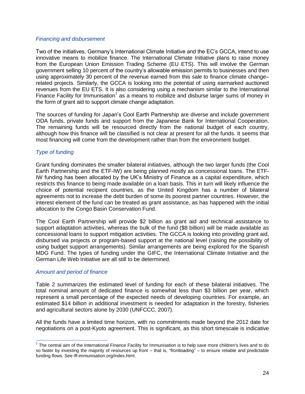#### *Financing and disbursement*

Two of the initiatives, Germany's International Climate Initiative and the EC's GCCA, intend to use innovative means to mobilize finance. The International Climate Initiative plans to raise money from the European Union Emission Trading Scheme (EU ETS). This will involve the German government selling 10 percent of the country's allowable emission permits to businesses and then using approximately 30 percent of the revenue earned from this sale to finance climate change– related projects. Similarly, the GCCA is looking into the potential of using earmarked auctioned revenues from the EU ETS. It is also considering using a mechanism similar to the International Finance Facility for Immunisation<sup>7</sup> as a means to mobilize and disburse larger sums of money in the form of grant aid to support climate change adaptation.

The sources of funding for Japan's Cool Earth Partnership are diverse and include government ODA funds, private funds and support from the Japanese Bank for International Cooperation. The remaining funds will be resourced directly from the national budget of each country, although how this finance will be classified is not clear at present for all the funds. It seems that most financing will come from the development rather than from the environment budget.

# *Type of funding*

Grant funding dominates the smaller bilateral initiatives, although the two larger funds (the Cool Earth Partnership and the ETF-IW) are being planned mostly as concessional loans. The ETF-IW funding has been allocated by the UK's Ministry of Finance as a capital expenditure, which restricts this finance to being made available on a loan basis. This in turn will likely influence the choice of potential recipient countries, as the United Kingdom has a number of bilateral agreements not to increase the debt burden of some its poorest partner countries. However, the interest element of the fund can be treated as grant assistance, as has happened with the initial allocation to the Congo Basin Conservation Fund.

The Cool Earth Partnership will provide \$2 billion as grant aid and technical assistance to support adaptation activities, whereas the bulk of the fund (\$8 billion) will be made available as concessional loans to support mitigation activities. The GCCA is looking into providing grant aid, disbursed via projects or program-based support at the national level (raising the possibility of using budget support arrangements). Similar arrangements are being explored for the Spanish MDG Fund. The types of funding under the GIFC, the International Climate Initiative and the German Life Web Initiative are all still to be determined.

## *Amount and period of finance*

Table 2 summarizes the estimated level of funding for each of these bilateral initiatives. The total nominal amount of dedicated finance is somewhat less than \$3 billion per year, which represent a small percentage of the expected needs of developing countries. For example, an estimated \$14 billion in additional investment is needed for adaptation in the forestry, fisheries and agricultural sectors alone by 2030 (UNFCCC, 2007).

All the funds have a limited time horizon, with no commitments made beyond the 2012 date for negotiations on a post-Kyoto agreement. This is significant, as this short timescale is indicative

The central aim of the International Finance Facility for Immunisation is to help save more children's lives and to do so faster by investing the majority of resources up front – that is, "frontloading" – to ensure reliable and predictable funding flows. See iff-immunisation.org/index.html.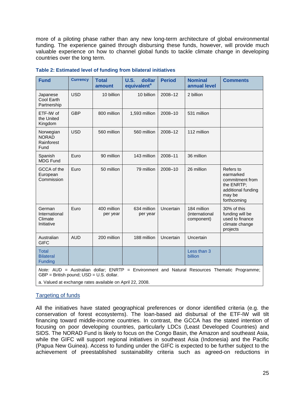more of a piloting phase rather than any new long-term architecture of global environmental funding. The experience gained through disbursing these funds, however, will provide much valuable experience on how to channel global funds to tackle climate change in developing countries over the long term.

| <b>Fund</b>                                      | <b>Currency</b>                                                                               | <b>Total</b><br>amount  | <b>U.S.</b><br>dollar<br>equivalent <sup>a</sup> | <b>Period</b> | <b>Nominal</b><br>annual level              | <b>Comments</b>                                                                                        |
|--------------------------------------------------|-----------------------------------------------------------------------------------------------|-------------------------|--------------------------------------------------|---------------|---------------------------------------------|--------------------------------------------------------------------------------------------------------|
| Japanese<br>Cool Earth<br>Partnership            | <b>USD</b>                                                                                    | 10 billion              | 10 billion                                       | 2008-12       | 2 billion                                   |                                                                                                        |
| ETF-IW of<br>the United<br>Kingdom               | <b>GBP</b>                                                                                    | 800 million             | 1,593 million                                    | 2008-10       | 531 million                                 |                                                                                                        |
| Norwegian<br><b>NORAD</b><br>Rainforest<br>Fund  | <b>USD</b>                                                                                    | 560 million             | 560 million                                      | 2008-12       | 112 million                                 |                                                                                                        |
| Spanish<br><b>MDG Fund</b>                       | Euro                                                                                          | 90 million              | 143 million                                      | 2008-11       | 36 million                                  |                                                                                                        |
| GCCA of the<br>European<br>Commission            | Euro                                                                                          | 50 million              | 79 million                                       | 2008-10       | 26 million                                  | Refers to<br>earmarked<br>commitment from<br>the ENRTP;<br>additional funding<br>may be<br>forthcoming |
| German<br>International<br>Climate<br>Initiative | Euro                                                                                          | 400 million<br>per year | 634 million<br>per year                          | Uncertain     | 184 million<br>(international<br>component) | 30% of this<br>funding will be<br>used to finance<br>climate change<br>projects                        |
| Australian<br><b>GIFC</b>                        | <b>AUD</b>                                                                                    | 200 million             | 188 million                                      | Uncertain     | Uncertain                                   |                                                                                                        |
| <b>Total</b><br><b>Bilateral</b><br>Funding      |                                                                                               |                         |                                                  |               | Less than 3<br>billion                      |                                                                                                        |
| $M - L = M + D$                                  | $\Lambda$ and $\Lambda$ and $\Lambda$ and $\Lambda$ and $\Lambda$ and $\Lambda$ and $\Lambda$ | <b>CAIDTD</b>           |                                                  |               |                                             |                                                                                                        |

#### **Table 2: Estimated level of funding from bilateral initiatives**

*Note:* AUD = Australian dollar; ENRTP = Environment and Natural Resources Thematic Programme; GBP = British pound; USD = U.S. dollar.

a. Valued at exchange rates available on April 22, 2008.

## Targeting of funds

All the initiatives have stated geographical preferences or donor identified criteria (e.g. the conservation of forest ecosystems). The loan-based aid disbursal of the ETF-IW will tilt financing toward middle-income countries. In contrast, the GCCA has the stated intention of focusing on poor developing countries, particularly LDCs (Least Developed Countries) and SIDS. The NORAD Fund is likely to focus on the Congo Basin, the Amazon and southeast Asia, while the GIFC will support regional initiatives in southeast Asia (Indonesia) and the Pacific (Papua New Guinea). Access to funding under the GIFC is expected to be further subject to the achievement of preestablished sustainability criteria such as agreed-on reductions in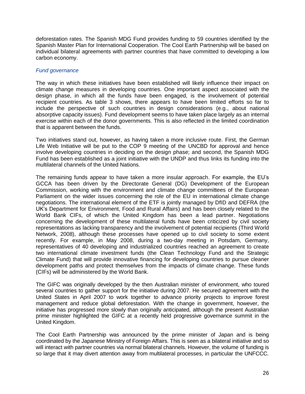deforestation rates. The Spanish MDG Fund provides funding to 59 countries identified by the Spanish Master Plan for International Cooperation. The Cool Earth Partnership will be based on individual bilateral agreements with partner countries that have committed to developing a low carbon economy.

#### *Fund governance*

The way in which these initiatives have been established will likely influence their impact on climate change measures in developing countries. One important aspect associated with the design phase, in which all the funds have been engaged, is the involvement of potential recipient countries. As table 3 shows, there appears to have been limited efforts so far to include the perspective of such countries in design considerations (e.g., about national absorptive capacity issues). Fund development seems to have taken place largely as an internal exercise within each of the donor governments. This is also reflected in the limited coordination that is apparent between the funds.

Two initiatives stand out, however, as having taken a more inclusive route. First, the German Life Web Initiative will be put to the COP 9 meeting of the UNCBD for approval and hence involve developing countries in deciding on the design phase; and second, the Spanish MDG Fund has been established as a joint initiative with the UNDP and thus links its funding into the multilateral channels of the United Nations.

The remaining funds appear to have taken a more insular approach. For example, the EU's GCCA has been driven by the Directorate General (DG) Development of the European Commission, working with the environment and climate change committees of the European Parliament on the wider issues concerning the role of the EU in international climate change negotiations. The international element of the ETF is jointly managed by DfID and DEFRA (the UK's Department for Environment, Food and Rural Affairs) and has been closely related to the World Bank CIFs, of which the United Kingdom has been a lead partner. Negotiations concerning the development of these multilateral funds have been criticized by civil society representations as lacking transparency and the involvement of potential recipients (Third World Network, 2008), although these processes have opened up to civil society to some extent recently. For example, in May 2008, during a two-day meeting in Potsdam, Germany, representatives of 40 developing and industrialized countries reached an agreement to create two international climate investment funds (the Clean Technology Fund and the Strategic Climate Fund) that will provide innovative financing for developing countries to pursue cleaner development paths and protect themselves from the impacts of climate change. These funds (CIFs) will be administered by the World Bank.

The GIFC was originally developed by the then Australian minister of environment, who toured several countries to gather support for the initiative during 2007. He secured agreement with the United States in April 2007 to work together to advance priority projects to improve forest management and reduce global deforestation. With the change in government, however, the initiative has progressed more slowly than originally anticipated, although the present Australian prime minister highlighted the GIFC at a recently held progressive governance summit in the United Kingdom.

The Cool Earth Partnership was announced by the prime minister of Japan and is being coordinated by the Japanese Ministry of Foreign Affairs. This is seen as a bilateral initiative and so will interact with partner countries via normal bilateral channels. However, the volume of funding is so large that it may divert attention away from multilateral processes, in particular the UNFCCC.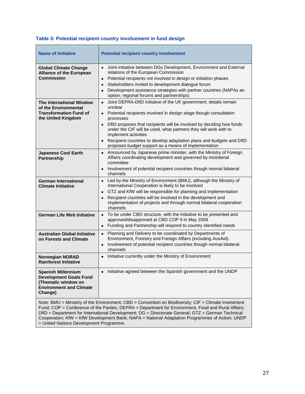# **Table 3: Potential recipient country involvement in fund design**

| <b>Name of Initiative</b>                                                                                                                                                                                                                                                                                                                                                                                                                                    | <b>Potential recipient country involvement</b>                                                                                                                                                                                                                                                                                                                                                                                                                                     |  |  |  |
|--------------------------------------------------------------------------------------------------------------------------------------------------------------------------------------------------------------------------------------------------------------------------------------------------------------------------------------------------------------------------------------------------------------------------------------------------------------|------------------------------------------------------------------------------------------------------------------------------------------------------------------------------------------------------------------------------------------------------------------------------------------------------------------------------------------------------------------------------------------------------------------------------------------------------------------------------------|--|--|--|
| <b>Global Climate Change</b><br><b>Alliance of the European</b><br>Commission                                                                                                                                                                                                                                                                                                                                                                                | Joint initiative between DGs Development, Environment and External<br>$\bullet$<br>relations of the European Commission<br>Potential recipients not involved in design or initiation phases<br>٠<br>Stakeholders invited to development dialogue forum<br>٠<br>Development assistance strategies with partner countries (NAPAs an<br>$\bullet$<br>option; regional forums and partnerships)                                                                                        |  |  |  |
| <b>The International Window</b><br>of the Environmental<br><b>Transformation Fund of</b><br>the United Kingdom                                                                                                                                                                                                                                                                                                                                               | Joint DEFRA-DfID initiative of the UK government; details remain<br>$\bullet$<br>unclear<br>• Potential recipients involved in design stage though consultation<br>processes<br>• DfID proposes that recipients will be involved by deciding how funds<br>under the CIF will be used, what partners they will work with to<br>implement activities<br>Recipient countries to develop adaptation plans and budgets and DfID<br>proposes budget support as a means of implementation |  |  |  |
| <b>Japanese Cool Earth</b><br>Partnership                                                                                                                                                                                                                                                                                                                                                                                                                    | • Announced by Japanese prime minister, with the Ministry of Foreign<br>Affairs coordinating development and governed by ministerial<br>committee<br>Involvement of potential recipient countries though normal bilateral<br>$\bullet$<br>channels                                                                                                                                                                                                                                 |  |  |  |
| German International<br><b>Climate Initiative</b>                                                                                                                                                                                                                                                                                                                                                                                                            | • Led by the Ministry of Environment (BMU), although the Ministry of<br>International Cooperation is likely to be involved<br>GTZ and KfW will be responsible for planning and implementation<br>$\bullet$<br>Recipient countries will be involved in the development and<br>$\bullet$<br>implementation of projects and through normal bilateral cooperation<br>channels                                                                                                          |  |  |  |
| <b>German Life Web Initiative</b>                                                                                                                                                                                                                                                                                                                                                                                                                            | • To be under CBD structure, with the Initiative to be presented and<br>approved/disapproved at CBD COP 9 in May 2008<br>Funding and Partnership will respond to country identified needs<br>$\bullet$                                                                                                                                                                                                                                                                             |  |  |  |
| <b>Australian Global Initiative</b><br>on Forests and Climate                                                                                                                                                                                                                                                                                                                                                                                                | Planning and Delivery to be coordinated by Departments of<br>٠<br>Environment, Forestry and Foreign Affairs (including AusAid).<br>Involvement of potential recipient countries though normal bilateral<br>$\bullet$<br>channels                                                                                                                                                                                                                                                   |  |  |  |
| <b>Norwegian NORAD</b><br><b>Rainforest Initiative</b>                                                                                                                                                                                                                                                                                                                                                                                                       | • Initiative currently under the Ministry of Environment                                                                                                                                                                                                                                                                                                                                                                                                                           |  |  |  |
| <b>Spanish Millennium</b><br><b>Development Goals Fund</b><br>(Thematic window on<br><b>Environment and Climate</b><br>Change)                                                                                                                                                                                                                                                                                                                               | Initiative agreed between the Spanish government and the UNDP<br>٠                                                                                                                                                                                                                                                                                                                                                                                                                 |  |  |  |
| Note: BMU = Ministriy of the Environment; CBD = Convention on Biodiversity; CIF = Climate Investment<br>Fund; COP = Conference of the Parties; DEFRA = Department for Environment, Food and Rural Affairs;<br>DfID = Department for International Development; DG = Directorate General; GTZ = German Technical<br>Cooperation; KfW = KfW Development Bank; NAPA = National Adaptation Programmes of Action; UNDP<br>= United Nations Development Programme. |                                                                                                                                                                                                                                                                                                                                                                                                                                                                                    |  |  |  |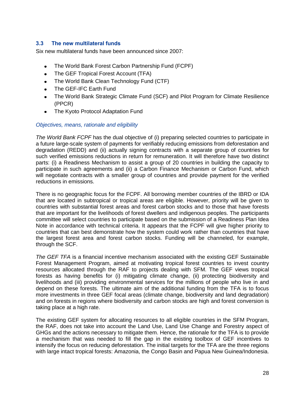## **3.3 The new multilateral funds**

Six new multilateral funds have been announced since 2007:

- The World Bank Forest Carbon Partnership Fund (FCPF)  $\bullet$
- The GEF Tropical Forest Account (TFA)  $\bullet$
- The World Bank Clean Technology Fund (CTF)  $\bullet$
- The GEF-IFC Earth Fund  $\bullet$
- The World Bank Strategic Climate Fund (SCF) and Pilot Program for Climate Resilience  $\bullet$ (PPCR)
- $\bullet$ The Kyoto Protocol Adaptation Fund

## *Objectives, means, rationale and eligibility*

*The World Bank FCPF* has the dual objective of (i) preparing selected countries to participate in a future large-scale system of payments for verifiably reducing emissions from deforestation and degradation (REDD) and (ii) actually signing contracts with a separate group of countries for such verified emissions reductions in return for remuneration. It will therefore have two distinct parts: (i) a Readiness Mechanism to assist a group of 20 countries in building the capacity to participate in such agreements and (ii) a Carbon Finance Mechanism or Carbon Fund, which will negotiate contracts with a smaller group of countries and provide payment for the verified reductions in emissions.

There is no geographic focus for the FCPF. All borrowing member countries of the IBRD or IDA that are located in subtropical or tropical areas are eligible. However, priority will be given to countries with substantial forest areas and forest carbon stocks and to those that have forests that are important for the livelihoods of forest dwellers and indigenous peoples. The participants committee will select countries to participate based on the submission of a Readiness Plan Idea Note in accordance with technical criteria. It appears that the FCPF will give higher priority to countries that can best demonstrate how the system could work rather than countries that have the largest forest area and forest carbon stocks. Funding will be channeled, for example, through the SCF.

*The GEF TFA* is a financial incentive mechanism associated with the existing GEF Sustainable Forest Management Program, aimed at motivating tropical forest countries to invest country resources allocated through the RAF to projects dealing with SFM. The GEF views tropical forests as having benefits for (i) mitigating climate change, (ii) protecting biodiversity and livelihoods and (iii) providing environmental services for the millions of people who live in and depend on these forests. The ultimate aim of the additional funding from the TFA is to focus more investments in three GEF focal areas (climate change, biodiversity and land degradation) and on forests in regions where biodiversity and carbon stocks are high and forest conversion is taking place at a high rate.

The existing GEF system for allocating resources to all eligible countries in the SFM Program, the RAF, does not take into account the Land Use, Land Use Change and Forestry aspect of GHGs and the actions necessary to mitigate them. Hence, the rationale for the TFA is to provide a mechanism that was needed to fill the gap in the existing toolbox of GEF incentives to intensify the focus on reducing deforestation. The initial targets for the TFA are the three regions with large intact tropical forests: Amazonia, the Congo Basin and Papua New Guinea/Indonesia.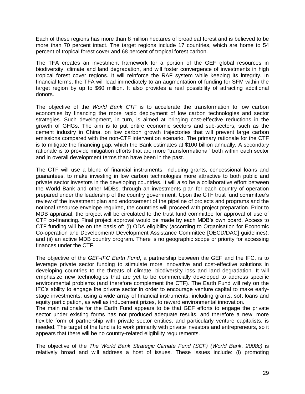Each of these regions has more than 8 million hectares of broadleaf forest and is believed to be more than 70 percent intact. The target regions include 17 countries, which are home to 54 percent of tropical forest cover and 68 percent of tropical forest carbon.

The TFA creates an investment framework for a portion of the GEF global resources in biodiversity, climate and land degradation, and will foster convergence of investments in high tropical forest cover regions. It will reinforce the RAF system while keeping its integrity. In financial terms, the TFA will lead immediately to an augmentation of funding for SFM within the target region by up to \$60 million. It also provides a real possibility of attracting additional donors.

The objective of the *World Bank CTF* is to accelerate the transformation to low carbon economies by financing the more rapid deployment of low carbon technologies and sector strategies. Such development, in turn, is aimed at bringing cost-effective reductions in the growth of GHGs. The aim is to put entire economic sectors and sub-sectors, such as the cement industry in China, on low carbon growth trajectories that will prevent large carbon emissions compared with the non-CTF intervention scenario. The primary rationale for the CTF is to mitigate the financing gap, which the Bank estimates at \$100 billion annually. A secondary rationale is to provide mitigation efforts that are more "transformational" both within each sector and in overall development terms than have been in the past.

The CTF will use a blend of financial instruments, including grants, concessional loans and guarantees, to make investing in low carbon technologies more attractive to both public and private sector investors in the developing countries. It will also be a collaborative effort between the World Bank and other MDBs, through an investments plan for each country of operation prepared under the leadership of the country government. Upon the CTF trust fund committee's review of the investment plan and endorsement of the pipeline of projects and programs and the notional resource envelope required, the countries will proceed with project preparation. Prior to MDB appraisal, the project will be circulated to the trust fund committee for approval of use of CTF co-financing. Final project approval would be made by each MDB's own board. Access to CTF funding will be on the basis of: (i) ODA eligibility (according to Organisation for Economic Co-operation and Development/ Development Assistance Committee [OECD/DAC] guidelines); and (ii) an active MDB country program. There is no geographic scope or priority for accessing finances under the CTF.

The objective of the *GEF-IFC Earth Fund*, a partnership between the GEF and the IFC, is to leverage private sector funding to stimulate more innovative and cost-effective solutions in developing countries to the threats of climate, biodiversity loss and land degradation. It will emphasize new technologies that are yet to be commercially developed to address specific environmental problems (and therefore complement the CTF). The Earth Fund will rely on the IFC's ability to engage the private sector in order to encourage venture capital to make earlystage investments, using a wide array of financial instruments, including grants, soft loans and equity participation, as well as inducement prizes, to reward environmental innovation.

The main rationale for the Earth Fund appears to be that GEF efforts to engage the private sector under existing forms has not produced adequate results, and therefore a new, more flexible form of partnership with private sector entities, and particularly venture capitalists, is needed. The target of the fund is to work primarily with private investors and entrepreneurs, so it appears that there will be no country-related eligibility requirements.

The objective of the *The World Bank Strategic Climate Fund (SCF) (World Bank, 2008c)* is relatively broad and will address a host of issues. These issues include: (i) promoting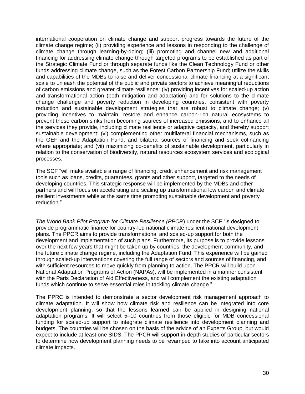international cooperation on climate change and support progress towards the future of the climate change regime; (ii) providing experience and lessons in responding to the challenge of climate change through learning-by-doing; (iii) promoting and channel new and additional financing for addressing climate change through targeted programs to be established as part of the Strategic Climate Fund or through separate funds like the Clean Technology Fund or other funds addressing climate change, such as the Forest Carbon Partnership Fund; utilize the skills and capabilities of the MDBs to raise and deliver concessional climate financing at a significant scale to unleash the potential of the public and private sectors to achieve meaningful reductions of carbon emissions and greater climate resilience; (iv) providing incentives for scaled-up action and transformational action (both mitigation and adaptation) and for solutions to the climate change challenge and poverty reduction in developing countries, consistent with poverty reduction and sustainable development strategies that are robust to climate change; (v) providing incentives to maintain, restore and enhance carbon-rich natural ecosystems to prevent these carbon sinks from becoming sources of increased emissions, and to enhance all the services they provide, including climate resilience or adaptive capacity, and thereby support sustainable development; (vi) complementing other multilateral financial mechanisms, such as the GEF and the Adaptation Fund, and bilateral sources of financing and seek cofinancing where appropriate; and (vii) maximizing co-benefits of sustainable development, particularly in relation to the conservation of biodiversity, natural resources ecosystem services and ecological processes.

The SCF "will make available a range of financing, credit enhancement and risk management tools such as loans, credits, guarantees, grants and other support, targeted to the needs of developing countries. This strategic response will be implemented by the MDBs and other partners and will focus on accelerating and scaling up transformational low carbon and climate resilient investments while at the same time promoting sustainable development and poverty reduction."

The World Bank Pilot Program for Climate Resilience (PPCR) under the SCF "is designed to provide programmatic finance for country-led national climate resilient national development plans. The PPCR aims to provide transformational and scaled-up support for both the development and implementation of such plans. Furthermore, its purpose is to provide lessons over the next few years that might be taken up by countries, the development community, and the future climate change regime, including the Adaptation Fund. This experience will be gained through scaled-up interventions covering the full range of sectors and sources of financing, and with sufficient resources to move quickly from planning to action. The PPCR will build upon National Adaptation Programs of Action (NAPAs), will be implemented in a manner consistent with the Paris Declaration of Aid Effectiveness, and will complement the existing adaptation funds which continue to serve essential roles in tackling climate change."

The PPRC is intended to demonstrate a sector development risk management approach to climate adaptation. It will show how climate risk and resilience can be integrated into core development planning, so that the lessons learned can be applied in designing national adaptation programs. It will select 5–10 countries from those eligible for MDB concessional funding for scaled-up support to integrate climate resilience into development planning and budgets. The countries will be chosen on the basis of the advice of an Experts Group, but would expect to include at least one SIDS. The PPCR will support in-depth studies of particular sectors to determine how development planning needs to be revamped to take into account anticipated climate impacts.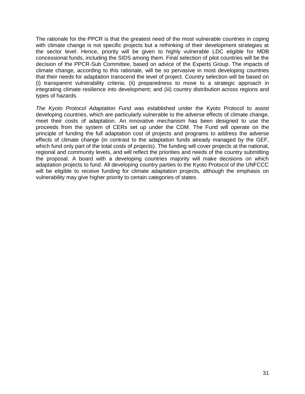The rationale for the PPCR is that the greatest need of the most vulnerable countries in coping with climate change is not specific projects but a rethinking of their development strategies at the sector level. Hence, priority will be given to highly vulnerable LDC eligible for MDB concessional funds, including the SIDS among them. Final selection of pilot countries will be the decision of the PPCR-Sub Committee, based on advice of the Experts Group. The impacts of climate change, according to this rationale, will be so pervasive in most developing countries that their needs for adaptation transcend the level of project. Country selection will be based on (i) transparent vulnerability criteria; (ii) preparedness to move to a strategic approach in integrating climate resilience into development; and (iii) country distribution across regions and types of hazards.

*The Kyoto Protocol Adaptation Fund* was established under the Kyoto Protocol to assist developing countries, which are particularly vulnerable to the adverse effects of climate change, meet their costs of adaptation. An innovative mechanism has been designed to use the proceeds from the system of CERs set up under the CDM. The Fund will operate on the principle of funding the full adaptation cost of projects and programs to address the adverse effects of climate change (in contrast to the adaptation funds already managed by the GEF, which fund only part of the total costs of projects). The funding will cover projects at the national, regional and community levels, and will reflect the priorities and needs of the country submitting the proposal. A board with a developing countries majority will make decisions on which adaptation projects to fund. All developing country parties to the Kyoto Protocol of the UNFCCC will be eligible to receive funding for climate adaptation projects, although the emphasis on vulnerability may give higher priority to certain categories of states.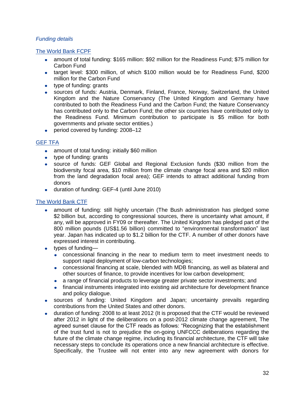# *Funding details*

# The World Bank FCPF

- amount of total funding: \$165 million: \$92 million for the Readiness Fund; \$75 million for Carbon Fund
- target level: \$300 million, of which \$100 million would be for Readiness Fund, \$200 million for the Carbon Fund
- type of funding: grants
- sources of funds: Austria, Denmark, Finland, France, Norway, Switzerland, the United  $\bullet$ Kingdom and the Nature Conservancy (The United Kingdom and Germany have contributed to both the Readiness Fund and the Carbon Fund; the Nature Conservancy has contributed only to the Carbon Fund; the other six countries have contributed only to the Readiness Fund. Minimum contribution to participate is \$5 million for both governments and private sector entities.)
- period covered by funding: 2008–12  $\bullet$

## GEF TFA

- amount of total funding: initially \$60 million
- type of funding: grants
- source of funds: GEF Global and Regional Exclusion funds (\$30 million from the biodiversity focal area, \$10 million from the climate change focal area and \$20 million from the land degradation focal area); GEF intends to attract additional funding from donors
- duration of funding: GEF-4 (until June 2010)  $\bullet$

## The World Bank CTF

- amount of funding: still highly uncertain (The Bush administration has pledged some \$2 billion but, according to congressional sources, there is uncertainty what amount, if any, will be approved in FY09 or thereafter. The United Kingdom has pledged part of the 800 million pounds (US\$1.56 billion) committed to "environmental transformation" last year. Japan has indicated up to \$1.2 billion for the CTF. A number of other donors have expressed interest in contributing.
- types of funding
	- concessional financing in the near to medium term to meet investment needs to support rapid deployment of low-carbon technologies;
	- concessional financing at scale, blended with MDB financing, as well as bilateral and other sources of finance, to provide incentives for low carbon development;
	- a range of financial products to leverage greater private sector investments; and
	- financial instruments integrated into existing aid architecture for development finance and policy dialogue.
- sources of funding: United Kingdom and Japan; uncertainty prevails regarding contributions from the United States and other donors.
- duration of funding: 2008 to at least 2012 (It is proposed that the CTF would be reviewed  $\bullet$ after 2012 in light of the deliberations on a post-2012 climate change agreement, The agreed sunset clause for the CTF reads as follows: "Recognizing that the establishment of the trust fund is not to prejudice the on-going UNFCCC deliberations regarding the future of the climate change regime, including its financial architecture, the CTF will take necessary steps to conclude its operations once a new financial architecture is effective. Specifically, the Trustee will not enter into any new agreement with donors for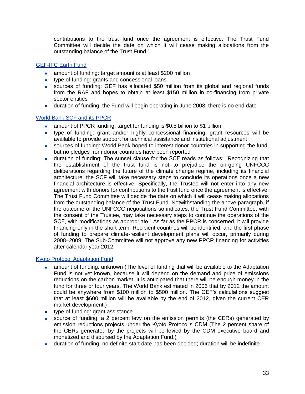contributions to the trust fund once the agreement is effective. The Trust Fund Committee will decide the date on which it will cease making allocations from the outstanding balance of the Trust Fund."

# GEF-IFC Earth Fund

- amount of funding: target amount is at least \$200 million
- type of funding: grants and concessional loans
- sources of funding: GEF has allocated \$50 million from its global and regional funds from the RAF and hopes to obtain at least \$150 million in co-financing from private sector entities
- duration of funding: the Fund will begin operating in June 2008; there is no end date

## World Bank SCF and its PPCR

- amount of PPCR funding: target for funding is \$0.5 billion to \$1 billion
- type of funding: grant and/or highly concessional financing; grant resources will be available to provide support for technical assistance and institutional adjustment
- sources of funding: World Bank hoped to interest donor countries in supporting the fund, but no pledges from donor countries have been reported
- duration of funding: The sunset clause for the SCF reads as follows: "Recognizing that  $\bullet$ the establishment of the trust fund is not to prejudice the on-going UNFCCC deliberations regarding the future of the climate change regime, including its financial architecture, the SCF will take necessary steps to conclude its operations once a new financial architecture is effective. Specifically, the Trustee will not enter into any new agreement with donors for contributions to the trust fund once the agreement is effective. The Trust Fund Committee will decide the date on which it will cease making allocations from the outstanding balance of the Trust Fund. Notwithstanding the above paragraph, if the outcome of the UNFCCC negotiations so indicates, the Trust Fund Committee, with the consent of the Trustee, may take necessary steps to continue the operations of the SCF, with modifications as appropriate." As far as the PPCR is concerned, it will provide financing only in the short term. Recipient countries will be identified, and the first phase of funding to prepare climate-resilient development plans will occur, primarily during 2008–2009. The Sub-Committee will not approve any new PPCR financing for activities after calendar year 2012.

## Kyoto Protocol Adaptation Fund

- amount of funding: unknown (The level of funding that will be available to the Adaptation Fund is not yet known, because it will depend on the demand and price of emissions reductions on the carbon market. It is anticipated that there will be enough money in the fund for three or four years. The World Bank estimated in 2006 that by 2012 the amount could be anywhere from \$100 million to \$500 million. The GEF's calculations suggest that at least \$600 million will be available by the end of 2012, given the current CER market development.)
- type of funding: grant assistance
- source of funding: a 2 percent levy on the emission permits (the CERs) generated by  $\bullet$ emission reductions projects under the Kyoto Protocol's CDM (The 2 percent share of the CERs generated by the projects will be levied by the CDM executive board and monetized and disbursed by the Adaptation Fund.)
- duration of funding: no definite start date has been decided; duration will be indefinite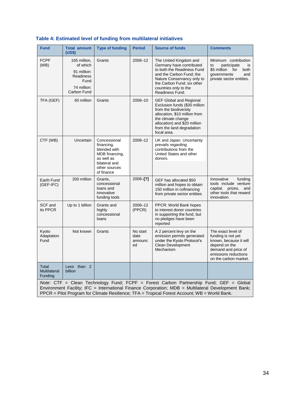| <b>Fund</b>                                                                                                                                                                                                                                                                                   | <b>Total amount</b>                                                                                         | <b>Type of funding</b>                                                                                                     | <b>Period</b>                     | <b>Source of funds</b>                                                                                                                                                                                                      | <b>Comments</b>                                                                                                                                             |
|-----------------------------------------------------------------------------------------------------------------------------------------------------------------------------------------------------------------------------------------------------------------------------------------------|-------------------------------------------------------------------------------------------------------------|----------------------------------------------------------------------------------------------------------------------------|-----------------------------------|-----------------------------------------------------------------------------------------------------------------------------------------------------------------------------------------------------------------------------|-------------------------------------------------------------------------------------------------------------------------------------------------------------|
| <b>FCPF</b><br>(WB)                                                                                                                                                                                                                                                                           | (US\$)<br>165 million,<br>of which<br>91 million:<br><b>Readiness</b><br>Fund<br>74 million:<br>Carbon Fund | Grants                                                                                                                     | 2008-12                           | The United Kingdom and<br>Germany have contributed<br>to both the Readiness Fund<br>and the Carbon Fund; the<br>Nature Conservancy only to<br>the Carbon Fund; six other<br>countries only to the<br>Readiness Fund.        | Minimum contribution<br>participate<br>to<br>is<br>\$5 million<br>for<br>both<br>governments<br>and<br>private sector entities.                             |
| TFA (GEF)                                                                                                                                                                                                                                                                                     | 60 million                                                                                                  | Grants                                                                                                                     | 2008-10                           | <b>GEF Global and Regional</b><br>Exclusion funds (\$30 million<br>from the biodiversity<br>allocation, \$10 million from<br>the climate change<br>allocation) and \$20 million<br>from the land degradation<br>focal area. |                                                                                                                                                             |
| CTF (WB)                                                                                                                                                                                                                                                                                      | Uncertain                                                                                                   | Concessional<br>financing,<br>blended with<br>MDB financing,<br>as well as<br>bilateral and<br>other sources<br>of finance | 2008-12                           | UK and Japan. Uncertainty<br>prevails regarding<br>contributions from the<br>United States and other<br>donors.                                                                                                             |                                                                                                                                                             |
| Earth Fund<br>$(GEF-IFC)$                                                                                                                                                                                                                                                                     | 200 million                                                                                                 | Grants,<br>concessional<br>loans and<br>innovative<br>funding tools                                                        | $2008 - [?)$                      | GEF has allocated \$50<br>million and hopes to obtain<br>150 million in cofinancing<br>from private sector entities                                                                                                         | Innovative<br>funding<br>tools include venture<br>capital, prizes,<br>and<br>other tools that reward<br>innovation.                                         |
| SCF and<br>its PPCR                                                                                                                                                                                                                                                                           | Up to 1 billion                                                                                             | Grants and<br>highly<br>concessional<br>loans                                                                              | 2008-12<br>(PPCR)                 | PPCR: World Bank hopes<br>to interest donor countries<br>in supporting the fund, but<br>no pledges have been<br>reported                                                                                                    |                                                                                                                                                             |
| Kyoto<br>Adaptation<br>Fund                                                                                                                                                                                                                                                                   | Not known                                                                                                   | Grants                                                                                                                     | No start<br>date<br>announc<br>ed | A 2 percent levy on the<br>emission permits generated<br>under the Kyoto Protocol's<br><b>Clean Development</b><br>Mechanism                                                                                                | The exact level of<br>funding is not yet<br>known, because it will<br>depend on the<br>demand and price of<br>emissions reductions<br>on the carbon market. |
| Total<br>Multilateral<br>Funding                                                                                                                                                                                                                                                              | Less than 2<br>billion                                                                                      |                                                                                                                            |                                   |                                                                                                                                                                                                                             |                                                                                                                                                             |
| Note: CTF = Clean Technology Fund; FCPF = Forest Carbon Partnership Fund; GEF = Global<br>Environment Facility; IFC = International Finance Corporation; MDB = Multilateral Development Bank;<br>PPCR = Pilot Program for Climate Resilience; TFA = Tropical Forest Account; WB = World Bank. |                                                                                                             |                                                                                                                            |                                   |                                                                                                                                                                                                                             |                                                                                                                                                             |

# **Table 4: Estimated level of funding from multilateral initiatives**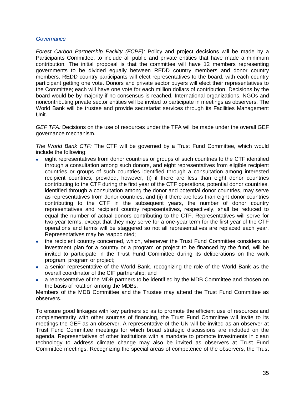#### *Governance*

*Forest Carbon Partnership Facility (FCPF):* Policy and project decisions will be made by a Participants Committee, to include all public and private entities that have made a minimum contribution. The initial proposal is that the committee will have 12 members representing governments to be divided equally between REDD country members and donor country members. REDD country participants will elect representatives to the board, with each country participant getting one vote. Donors and private sector buyers will elect their representatives to the Committee; each will have one vote for each million dollars of contribution. Decisions by the board would be by majority if no consensus is reached. International organizations, NGOs and noncontributing private sector entities will be invited to participate in meetings as observers. The World Bank will be trustee and provide secretariat services through its Facilities Management Unit.

*GEF TFA:* Decisions on the use of resources under the TFA will be made under the overall GEF governance mechanism.

*The World Bank CTF:* The CTF will be governed by a Trust Fund Committee, which would include the following:

- eight representatives from donor countries or groups of such countries to the CTF identified through a consultation among such donors, and eight representatives from eligible recipient countries or groups of such countries identified through a consultation among interested recipient countries; provided, however, (i) if there are less than eight donor countries contributing to the CTF during the first year of the CTF operations, potential donor countries, identified through a consultation among the donor and potential donor countries, may serve as representatives from donor countries, and (ii) if there are less than eight donor countries contributing to the CTF in the subsequent years, the number of donor country representatives and recipient country representatives, respectively, shall be reduced to equal the number of actual donors contributing to the CTF. Representatives will serve for two-year terms, except that they may serve for a one-year term for the first year of the CTF operations and terms will be staggered so not all representatives are replaced each year. Representatives may be reappointed;
- the recipient country concerned, which, whenever the Trust Fund Committee considers an investment plan for a country or a program or project to be financed by the fund, will be invited to participate in the Trust Fund Committee during its deliberations on the work program, program or project;
- a senior representative of the World Bank, recognizing the role of the World Bank as the overall coordinator of the CIF partnership; and
- a representative of the MDB partners to be identified by the MDB Committee and chosen on the basis of rotation among the MDBs.

Members of the MDB Committee and the Trustee may attend the Trust Fund Committee as observers.

To ensure good linkages with key partners so as to promote the efficient use of resources and complementarity with other sources of financing, the Trust Fund Committee will invite to its meetings the GEF as an observer. A representative of the UN will be invited as an observer at Trust Fund Committee meetings for which broad strategic discussions are included on the agenda. Representatives of other institutions with a mandate to promote investments in clean technology to address climate change may also be invited as observers at Trust Fund Committee meetings. Recognizing the special areas of competence of the observers, the Trust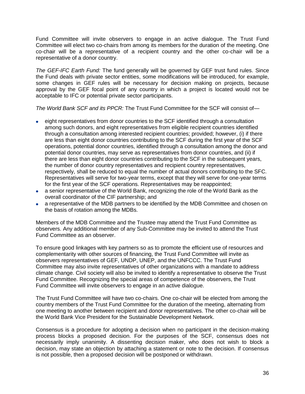Fund Committee will invite observers to engage in an active dialogue. The Trust Fund Committee will elect two co-chairs from among its members for the duration of the meeting. One co-chair will be a representative of a recipient country and the other co-chair will be a representative of a donor country.

*The GEF-IFC Earth Fund:* The fund generally will be governed by GEF trust fund rules. Since the Fund deals with private sector entities, some modifications will be introduced, for example, some changes in GEF rules will be necessary for decision making on projects, because approval by the GEF focal point of any country in which a project is located would not be acceptable to IFC or potential private sector participants.

*The World Bank SCF and its PPCR:* The Trust Fund Committee for the SCF will consist of—

- eight representatives from donor countries to the SCF identified through a consultation among such donors, and eight representatives from eligible recipient countries identified through a consultation among interested recipient countries; provided; however, (i) if there are less than eight donor countries contributing to the SCF during the first year of the SCF operations, potential donor countries, identified through a consultation among the donor and potential donor countries, may serve as representatives from donor countries, and (ii) if there are less than eight donor countries contributing to the SCF in the subsequent years, the number of donor country representatives and recipient country representatives, respectively, shall be reduced to equal the number of actual donors contributing to the SFC. Representatives will serve for two-year terms, except that they will serve for one-year terms for the first year of the SCF operations. Representatives may be reappointed;
- a senior representative of the World Bank, recognizing the role of the World Bank as the overall coordinator of the CIF partnership; and
- a representative of the MDB partners to be identified by the MDB Committee and chosen on the basis of rotation among the MDBs.

Members of the MDB Committee and the Trustee may attend the Trust Fund Committee as observers. Any additional member of any Sub-Committee may be invited to attend the Trust Fund Committee as an observer.

To ensure good linkages with key partners so as to promote the efficient use of resources and complementarity with other sources of financing, the Trust Fund Committee will invite as observers representatives of GEF, UNDP, UNEP, and the UNFCCC. The Trust Fund Committee may also invite representatives of other organizations with a mandate to address climate change. Civil society will also be invited to identify a representative to observe the Trust Fund Committee. Recognizing the special areas of competence of the observers, the Trust Fund Committee will invite observers to engage in an active dialogue.

The Trust Fund Committee will have two co-chairs. One co-chair will be elected from among the country members of the Trust Fund Committee for the duration of the meeting, alternating from one meeting to another between recipient and donor representatives. The other co-chair will be the World Bank Vice President for the Sustainable Development Network.

Consensus is a procedure for adopting a decision when no participant in the decision-making process blocks a proposed decision. For the purposes of the SCF, consensus does not necessarily imply unanimity. A dissenting decision maker, who does not wish to block a decision, may state an objection by attaching a statement or note to the decision. If consensus is not possible, then a proposed decision will be postponed or withdrawn.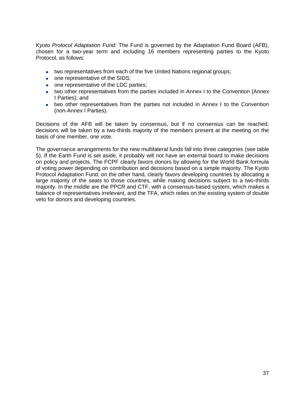*Kyoto Protocol Adaptation Fund:* The Fund is governed by the Adaptation Fund Board (AFB), chosen for a two-year term and including 16 members representing parties to the Kyoto Protocol, as follows:

- two representatives from each of the five United Nations regional groups;
- one representative of the SIDS;
- one representative of the LDC parties;
- two other representatives from the parties included in Annex I to the Convention (Annex I Parties); and
- two other representatives from the parties not included in Annex I to the Convention (non-Annex I Parties).

Decisions of the AFB will be taken by consensus, but if no consensus can be reached, decisions will be taken by a two-thirds majority of the members present at the meeting on the basis of one member, one vote.

The governance arrangements for the new multilateral funds fall into three categories (see table 5). If the Earth Fund is set aside, it probably will not have an external board to make decisions on policy and projects. The FCPF clearly favors donors by allowing for the World Bank formula of voting power depending on contribution and decisions based on a simple majority. The Kyoto Protocol Adaptation Fund, on the other hand, clearly favors developing countries by allocating a large majority of the seats to those countries, while making decisions subject to a two-thirds majority. In the middle are the PPCR and CTF, with a consensus-based system, which makes a balance of representatives irrelevant, and the TFA, which relies on the existing system of double veto for donors and developing countries.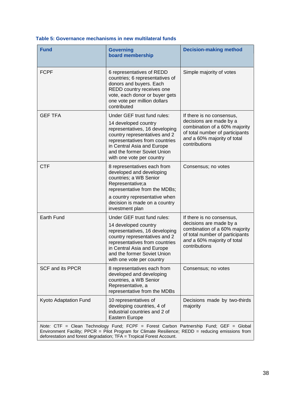| Table 5: Governance mechanisms in new multilateral funds |  |
|----------------------------------------------------------|--|
|----------------------------------------------------------|--|

| <b>Fund</b>             | <b>Governing</b><br>board membership                                                                                                                                                                                                                                | <b>Decision-making method</b>                                                                                                                                            |
|-------------------------|---------------------------------------------------------------------------------------------------------------------------------------------------------------------------------------------------------------------------------------------------------------------|--------------------------------------------------------------------------------------------------------------------------------------------------------------------------|
| <b>FCPF</b>             | 6 representatives of REDD<br>countries; 6 representatives of<br>donors and buyers. Each<br>REDD country receives one<br>vote, each donor or buyer gets<br>one vote per million dollars<br>contributed                                                               | Simple majority of votes                                                                                                                                                 |
| <b>GEF TFA</b>          | Under GEF trust fund rules:<br>14 developed country<br>representatives, 16 developing<br>country representatives and 2<br>representatives from countries<br>in Central Asia and Europe<br>and the former Soviet Union<br>with one vote per country                  | If there is no consensus,<br>decisions are made by a<br>combination of a 60% majority<br>of total number of participants<br>and a 60% majority of total<br>contributions |
| <b>CTF</b>              | 8 representatives each from<br>developed and developing<br>countries; a WB Senior<br>Representative;a<br>representative from the MDBs;<br>a country representative when                                                                                             | Consensus; no votes                                                                                                                                                      |
|                         | decision is made on a country<br>investment plan                                                                                                                                                                                                                    |                                                                                                                                                                          |
| Earth Fund              | Under GEF trust fund rules:<br>14 developed country<br>representatives, 16 developing<br>country representatives and 2<br>representatives from countries<br>in Central Asia and Europe<br>and the former Soviet Union<br>with one vote per country                  | If there is no consensus,<br>decisions are made by a<br>combination of a 60% majority<br>of total number of participants<br>and a 60% majority of total<br>contributions |
| <b>SCF and its PPCR</b> | 8 representatives each from<br>developed and developing<br>countries, a WB Senior<br>Representative, a<br>representative from the MDBs                                                                                                                              | Consensus; no votes                                                                                                                                                      |
| Kyoto Adaptation Fund   | 10 representatives of<br>developing countries, 4 of<br>industrial countries and 2 of<br>Eastern Europe                                                                                                                                                              | Decisions made by two-thirds<br>majority                                                                                                                                 |
|                         | Note: CTF = Clean Technology Fund; FCPF = Forest Carbon Partnership Fund; GEF = Global<br>Environment Facility; PPCR = Pilot Program for Climate Resilience; REDD = reducing emissions from<br>deforestation and forest degradation; TFA = Tropical Forest Account. |                                                                                                                                                                          |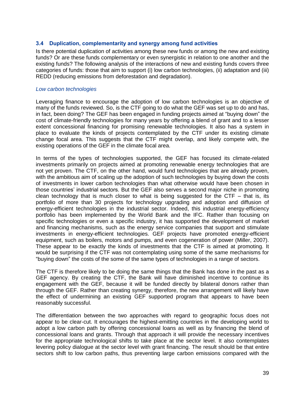#### **3.4 Duplication, complementarity and synergy among fund activities**

Is there potential duplication of activities among these new funds or among the new and existing funds? Or are these funds complementary or even synergistic in relation to one another and the existing funds? The following analysis of the interactions of new and existing funds covers three categories of funds: those that aim to support (i) low carbon technologies, (ii) adaptation and (iii) REDD (reducing emissions from deforestation and degradation).

#### *Low carbon technologies*

Leveraging finance to encourage the adoption of low carbon technologies is an objective of many of the funds reviewed. So, is the CTF going to do what the GEF was set up to do and has, in fact, been doing? The GEF has been engaged in funding projects aimed at "buying down" the cost of climate-friendly technologies for many years by offering a blend of grant and to a lesser extent concessional financing for promising renewable technologies. It also has a system in place to evaluate the kinds of projects contemplated by the CTF under its existing climate change focal area. This suggests that the CTF might overlap, and likely compete with, the existing operations of the GEF in the climate focal area.

In terms of the types of technologies supported, the GEF has focused its climate-related investments primarily on projects aimed at promoting renewable energy technologies that are not yet proven. The CTF, on the other hand, would fund technologies that are already proven, with the ambitious aim of scaling up the adoption of such technologies by buying down the costs of investments in lower carbon technologies than what otherwise would have been chosen in those countries' industrial sectors. But the GEF also serves a second major niche in promoting clean technology that is much closer to what is being suggested for the  $CTF - that$  is, its portfolio of more than 30 projects for technology upgrading and adoption and diffusion of energy-efficient technologies in the industrial sector. Indeed, this industrial energy-efficiency portfolio has been implemented by the World Bank and the IFC. Rather than focusing on specific technologies or even a specific industry, it has supported the development of market and financing mechanisms, such as the energy service companies that support and stimulate investments in energy-efficient technologies. GEF projects have promoted energy-efficient equipment, such as boilers, motors and pumps, and even cogeneration of power (Miller, 2007). These appear to be exactly the kinds of investments that the CTF is aimed at promoting. It would be surprising if the CTF was not contemplating using some of the same mechanisms for ―buying down‖ the costs of the some of the same types of technologies in a range of sectors.

The CTF is therefore likely to be doing the same things that the Bank has done in the past as a GEF agency. By creating the CTF, the Bank will have diminished incentive to continue its engagement with the GEF, because it will be funded directly by bilateral donors rather than through the GEF. Rather than creating synergy, therefore, the new arrangement will likely have the effect of undermining an existing GEF supported program that appears to have been reasonably successful.

The differentiation between the two approaches with regard to geographic focus does not appear to be clear-cut. It encourages the highest-emitting countries in the developing world to adopt a low carbon path by offering concessional loans as well as by financing the blend of concessional loans and grants. Through that approach it will provide the necessary incentives for the appropriate technological shifts to take place at the sector level. It also contemplates levering policy dialogue at the sector level with grant financing. The result should be that entire sectors shift to low carbon paths, thus preventing large carbon emissions compared with the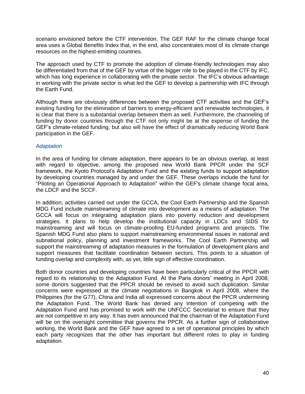scenario envisioned before the CTF intervention. The GEF RAF for the climate change focal area uses a Global Benefits Index that, in the end, also concentrates most of its climate change resources on the highest-emitting countries.

The approach used by CTF to promote the adoption of climate-friendly technologies may also be differentiated from that of the GEF by virtue of the bigger role to be played in the CTF by IFC, which has long experience in collaborating with the private sector. The IFC's obvious advantage in working with the private sector is what led the GEF to develop a partnership with IFC through the Earth Fund.

Although there are obviously differences between the proposed CTF activities and the GEF's existing funding for the elimination of barriers to energy-efficient and renewable technologies, it is clear that there is a substantial overlap between them as well. Furthermore, the channeling of funding by donor countries through the CTF not only might be at the expense of funding the GEF's climate-related funding, but also will have the effect of dramatically reducing World Bank participation in the GEF.

## *Adaptation*

In the area of funding for climate adaptation, there appears to be an obvious overlap, at least with regard to objective, among the proposed new World Bank PPCR under the SCF framework, the Kyoto Protocol's Adaptation Fund and the existing funds to support adaptation by developing countries managed by and under the GEF. These overlaps include the fund for "Piloting an Operational Approach to Adaptation" within the GEF's climate change focal area, the LDCF and the SCCF.

In addition, activities carried out under the GCCA, the Cool Earth Partnership and the Spanish MDG Fund include mainstreaming of climate into development as a means of adaptation. The GCCA will focus on integrating adaptation plans into poverty reduction and development strategies. It plans to help develop the institutional capacity in LDCs and SIDS for mainstreaming and will focus on climate-proofing EU-funded programs and projects. The Spanish MDG Fund also plans to support mainstreaming environmental issues in national and subnational policy, planning and investment frameworks. The Cool Earth Partnership will support the mainstreaming of adaptation measures in the formulation of development plans and support measures that facilitate coordination between sectors. This points to a situation of funding overlap and complexity with, as yet, little sign of effective coordination.

Both donor countries and developing countries have been particularly critical of the PPCR with regard to its relationship to the Adaptation Fund. At the Paris donors' meeting in April 2008, some donors suggested that the PPCR should be revised to avoid such duplication. Similar concerns were expressed at the climate negotiations in Bangkok in April 2008, where the Philippines (for the G77), China and India all expressed concerns about the PPCR undermining the Adaptation Fund. The World Bank has denied any intention of competing with the Adaptation Fund and has promised to work with the UNFCCC Secretariat to ensure that they are not competitive in any way. It has even announced that the chairman of the Adaptation Fund will be on the oversight committee that governs the PPCR. As a further sign of collaborative working, the World Bank and the GEF have agreed to a set of operational principles by which each party recognizes that the other has important but different roles to play in funding adaptation.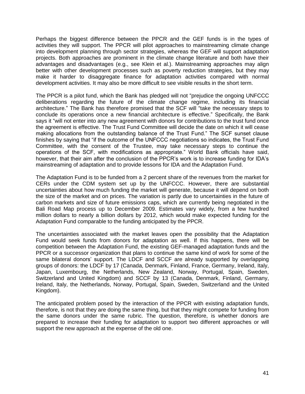Perhaps the biggest difference between the PPCR and the GEF funds is in the types of activities they will support. The PPCR will pilot approaches to mainstreaming climate change into development planning through sector strategies, whereas the GEF will support adaptation projects. Both approaches are prominent in the climate change literature and both have their advantages and disadvantages (e.g., see Klein et al.). Mainstreaming approaches may align better with other development processes such as poverty reduction strategies, but they may make it harder to disaggregate finance for adaptation activities compared with normal development activities. It may also be more difficult to see visible results in the short term.

The PPCR is a pilot fund, which the Bank has pledged will not "prejudice the ongoing UNFCCC deliberations regarding the future of the climate change regime, including its financial architecture." The Bank has therefore promised that the SCF will "take the necessary steps to conclude its operations once a new financial architecture is effective." Specifically, the Bank says it "will not enter into any new agreement with donors for contributions to the trust fund once the agreement is effective. The Trust Fund Committee will decide the date on which it will cease making allocations from the outstanding balance of the Trust Fund.‖ The SCF sunset clause finishes by saying that "if the outcome of the UNFCCC negotiations so indicates, the Trust Fund Committee, with the consent of the Trustee, may take necessary steps to continue the operations of the SCF, with modifications as appropriate." World Bank officials have said, however, that their aim after the conclusion of the PPCR's work is to increase funding for IDA's mainstreaming of adaptation and to provide lessons for IDA and the Adaptation Fund.

The Adaptation Fund is to be funded from a 2 percent share of the revenues from the market for CERs under the CDM system set up by the UNFCCC. However, there are substantial uncertainties about how much funding the market will generate, because it will depend on both the size of the market and on prices. The variation is partly due to uncertainties in the future of carbon markets and size of future emissions caps, which are currently being negotiated in the Bali Road Map process up to December 2009. Estimates vary widely, from a few hundred million dollars to nearly a billion dollars by 2012, which would make expected funding for the Adaptation Fund comparable to the funding anticipated by the PPCR.

The uncertainties associated with the market leaves open the possibility that the Adaptation Fund would seek funds from donors for adaptation as well. If this happens, there will be competition between the Adaptation Fund, the existing GEF-managed adaptation funds and the PPCR or a successor organization that plans to continue the same kind of work for some of the same bilateral donors' support. The LDCF and SCCF are already supported by overlapping groups of donors: the LDCF by 17 (Canada, Denmark, Finland, France, Germany, Ireland, Italy, Japan, Luxembourg, the Netherlands, New Zealand, Norway, Portugal, Spain, Sweden, Switzerland and United Kingdom) and SCCF by 13 (Canada, Denmark, Finland, Germany, Ireland, Italy, the Netherlands, Norway, Portugal, Spain, Sweden, Switzerland and the United Kingdom).

The anticipated problem posed by the interaction of the PPCR with existing adaptation funds, therefore, is not that they are doing the same thing, but that they might compete for funding from the same donors under the same rubric. The question, therefore, is whether donors are prepared to increase their funding for adaptation to support two different approaches or will support the new approach at the expense of the old one.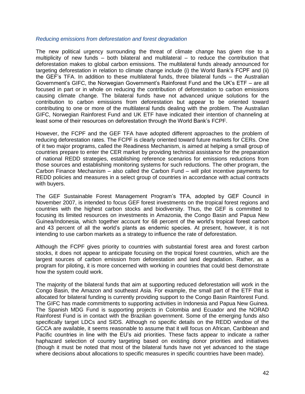#### *Reducing emissions from deforestation and forest degradation*

The new political urgency surrounding the threat of climate change has given rise to a multiplicity of new funds – both bilateral and multilateral – to reduce the contribution that deforestation makes to global carbon emissions. The multilateral funds already announced for targeting deforestation in relation to climate change include (i) the World Bank's FCPF and (ii) the GEF's TFA. In addition to these multilateral funds, three bilateral funds – the Australian Government's GIFC, the Norwegian Government's Rainforest Fund and the UK's ETF – are all focused in part or in whole on reducing the contribution of deforestation to carbon emissions causing climate change. The bilateral funds have not advanced unique solutions for the contribution to carbon emissions from deforestation but appear to be oriented toward contributing to one or more of the multilateral funds dealing with the problem. The Australian GIFC, Norwegian Rainforest Fund and UK ETF have indicated their intention of channeling at least some of their resources on deforestation through the World Bank's FCPF.

However, the FCPF and the GEF TFA have adopted different approaches to the problem of reducing deforestation rates. The FCPF is clearly oriented toward future markets for CERs. One of it two major programs, called the Readiness Mechanism, is aimed at helping a small group of countries prepare to enter the CER market by providing technical assistance for the preparation of national REDD strategies, establishing reference scenarios for emissions reductions from those sources and establishing monitoring systems for such reductions. The other program, the Carbon Finance Mechanism – also called the Carbon Fund – will pilot incentive payments for REDD policies and measures in a select group of countries in accordance with actual contracts with buyers.

The GEF Sustainable Forest Management Program's TFA, adopted by GEF Council in November 2007, is intended to focus GEF forest investments on the tropical forest regions and countries with the highest carbon stocks and biodiversity. Thus, the GEF is committed to focusing its limited resources on investments in Amazonia, the Congo Basin and Papua New Guinea/Indonesia, which together account for 68 percent of the world's tropical forest carbon and 43 percent of all the world's plants as endemic species. At present, however, it is not intending to use carbon markets as a strategy to influence the rate of deforestation.

Although the FCPF gives priority to countries with substantial forest area and forest carbon stocks, it does not appear to anticipate focusing on the tropical forest countries, which are the largest sources of carbon emission from deforestation and land degradation. Rather, as a program for piloting, it is more concerned with working in countries that could best demonstrate how the system could work.

The majority of the bilateral funds that aim at supporting reduced deforestation will work in the Congo Basin, the Amazon and southeast Asia. For example, the small part of the ETF that is allocated for bilateral funding is currently providing support to the Congo Basin Rainforest Fund. The GIFC has made commitments to supporting activities in Indonesia and Papua New Guinea. The Spanish MDG Fund is supporting projects in Colombia and Ecuador and the NORAD Rainforest Fund is in contact with the Brazilian government. Some of the emerging funds also specifically target LDCs and SIDS. Although no specific details on the REDD window of the GCCA are available, it seems reasonable to assume that it will focus on African, Caribbean and Pacific countries in line with the EU's aid priorities. These facts appear to indicate a rather haphazard selection of country targeting based on existing donor priorities and initiatives (though it must be noted that most of the bilateral funds have not yet advanced to the stage where decisions about allocations to specific measures in specific countries have been made).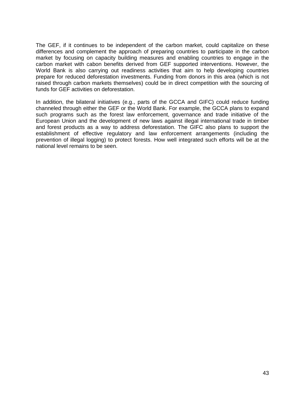The GEF, if it continues to be independent of the carbon market, could capitalize on these differences and complement the approach of preparing countries to participate in the carbon market by focusing on capacity building measures and enabling countries to engage in the carbon market with cabon benefits derived from GEF supported interventions. However, the World Bank is also carrying out readiness activities that aim to help developing countries prepare for reduced deforestation investments. Funding from donors in this area (which is not raised through carbon markets themselves) could be in direct competition with the sourcing of funds for GEF activities on deforestation.

In addition, the bilateral initiatives (e.g., parts of the GCCA and GIFC) could reduce funding channeled through either the GEF or the World Bank. For example, the GCCA plans to expand such programs such as the forest law enforcement, governance and trade initiative of the European Union and the development of new laws against illegal international trade in timber and forest products as a way to address deforestation. The GIFC also plans to support the establishment of effective regulatory and law enforcement arrangements (including the prevention of illegal logging) to protect forests. How well integrated such efforts will be at the national level remains to be seen.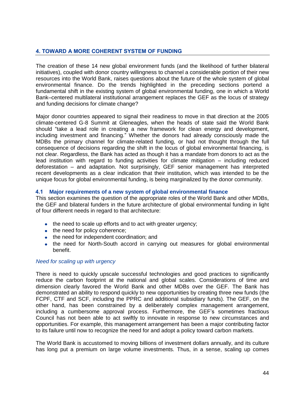# **4. TOWARD A MORE COHERENT SYSTEM OF FUNDING**

The creation of these 14 new global environment funds (and the likelihood of further bilateral initiatives), coupled with donor country willingness to channel a considerable portion of their new resources into the World Bank, raises questions about the future of the whole system of global environmental finance. Do the trends highlighted in the preceding sections portend a fundamental shift in the existing system of global environmental funding, one in which a World Bank–centered multilateral institutional arrangement replaces the GEF as the locus of strategy and funding decisions for climate change?

Major donor countries appeared to signal their readiness to move in that direction at the 2005 climate-centered G-8 Summit at Gleneagles, when the heads of state said the World Bank should "take a lead role in creating a new framework for clean energy and development, including investment and financing.‖ Whether the donors had already consciously made the MDBs the primary channel for climate-related funding, or had not thought through the full consequence of decisions regarding the shift in the locus of global environmental financing, is not clear. Regardless, the Bank has acted as though it has a mandate from donors to act as the lead institution with regard to funding activities for climate mitigation – including reduced deforestation – and adaptation. Not surprisingly, GEF senior management has interpreted recent developments as a clear indication that their institution, which was intended to be the unique focus for global environmental funding, is being marginalized by the donor community.

## **4.1 Major requirements of a new system of global environmental finance**

This section examines the question of the appropriate roles of the World Bank and other MDBs, the GEF and bilateral funders in the future architecture of global environmental funding in light of four different needs in regard to that architecture:

- the need to scale up efforts and to act with greater urgency;
- the need for policy coherence;
- the need for independent coordination; and
- the need for North-South accord in carrying out measures for global environmental benefit.

#### *Need for scaling up with urgency*

There is need to quickly upscale successful technologies and good practices to significantly reduce the carbon footprint at the national and global scales. Considerations of time and dimension clearly favored the World Bank and other MDBs over the GEF. The Bank has demonstrated an ability to respond quickly to new opportunities by creating three new funds (the FCPF, CTF and SCF, including the PPRC and additional subsidiary funds). The GEF, on the other hand, has been constrained by a deliberately complex management arrangement, including a cumbersome approval process. Furthermore, the GEF's sometimes fractious Council has not been able to act swiftly to innovate in response to new circumstances and opportunities. For example, this management arrangement has been a major contributing factor to its failure until now to recognize the need for and adopt a policy toward carbon markets.

The World Bank is accustomed to moving billions of investment dollars annually, and its culture has long put a premium on large volume investments. Thus, in a sense, scaling up comes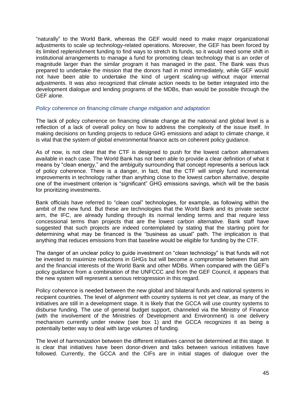―naturally‖ to the World Bank, whereas the GEF would need to make major organizational adjustments to scale up technology-related operations. Moreover, the GEF has been forced by its limited replenishment funding to find ways to stretch its funds, so it would need some shift in institutional arrangements to manage a fund for promoting clean technology that is an order of magnitude larger than the similar program it has managed in the past. The Bank was thus prepared to undertake the mission that the donors had in mind immediately, while GEF would not have been able to undertake the kind of urgent scaling-up without major internal adjustments. It was also recognized that climate action needs to be better integrated into the development dialogue and lending programs of the MDBs, than would be possible through the GEF alone.

#### *Policy coherence on financing climate change mitigation and adaptation*

The lack of policy coherence on financing climate change at the national and global level is a reflection of a lack of overall policy on how to address the complexity of the issue itself. In making decisions on funding projects to reduce GHG emissions and adapt to climate change, it is vital that the system of global environmental finance acts on coherent policy guidance.

As of now, is not clear that the CTF is designed to push for the lowest carbon alternatives available in each case. The World Bank has not been able to provide a clear definition of what it means by "clean energy," and the ambiguity surrounding that concept represents a serious lack of policy coherence. There is a danger, in fact, that the CTF will simply fund incremental improvements in technology rather than anything close to the lowest carbon alternative, despite one of the investment criterion is "significant" GHG emissions savings, which will be the basis for prioritizing investments.

Bank officials have referred to "clean coal" technologies, for example, as following within the ambit of the new fund. But these are technologies that the World Bank and its private sector arm, the IFC, are already funding through its normal lending terms and that require less concessional terms than projects that are the lowest carbon alternative. Bank staff have suggested that such projects are indeed contemplated by stating that the starting point for determining what may be financed is the "business as usual" path. The implication is that anything that reduces emissions from that baseline would be eligible for funding by the CTF.

The danger of an unclear policy to guide investment on "clean technology" is that funds will not be invested to maximize reductions in GHGs but will become a compromise between that aim and the financial interests of the World Bank and other MDBs. When compared with the GEF's policy guidance from a combination of the UNFCCC and from the GEF Council, it appears that the new system will represent a serious retrogression in this regard.

Policy coherence is needed between the new global and bilateral funds and national systems in recipient countries. The level of *alignment* with country systems is not yet clear, as many of the initiatives are still in a development stage. It is likely that the GCCA will use country systems to disburse funding. The use of general budget support, channeled via the Ministry of Finance (with the involvement of the Ministries of Development and Environment) is one delivery mechanism currently under review (see box 1) and the GCCA recognizes it as being a potentially better way to deal with large volumes of funding.

The level of *harmonization* between the different initiatives cannot be determined at this stage. It is clear that initiatives have been donor-driven and talks between various initiatives have followed. Currently, the GCCA and the CIFs are in initial stages of dialogue over the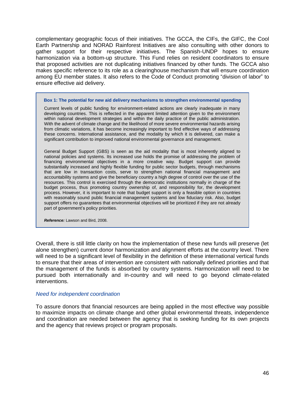complementary geographic focus of their initiatives. The GCCA, the CIFs, the GIFC, the Cool Earth Partnership and NORAD Rainforest Initiatives are also consulting with other donors to gather support for their respective initiatives. The Spanish-UNDP hopes to ensure harmonization via a bottom-up structure. This Fund relies on resident coordinators to ensure that proposed activities are not duplicating initiatives financed by other funds. The GCCA also makes specific reference to its role as a clearinghouse mechanism that will ensure coordination among EU member states. It also refers to the Code of Conduct promoting "division of labor" to ensure effective aid delivery.

#### **Box 1: The potential for new aid delivery mechanisms to strengthen environmental spending**

Current levels of public funding for environment-related actions are clearly inadequate in many developing countries. This is reflected in the apparent limited attention given to the environment within national development strategies and within the daily practice of the public administration. With the advent of climate change and the likelihood of more severe environmental hazards arising from climatic variations, it has become increasingly important to find effective ways of addressing these concerns. International assistance, and the modality by which it is delivered, can make a significant contribution to improved national environmental governance and management.

General Budget Support (GBS) is seen as the aid modality that is most inherently aligned to national policies and systems. Its increased use holds the promise of addressing the problem of financing environmental objectives in a more creative way. Budget support can provide substantially increased and highly flexible funding for public sector budgets, through mechanisms that are low in transaction costs, serve to strengthen national financial management and accountability systems and give the beneficiary country a high degree of control over the use of the resources. This control is exercised through the democratic institutions normally in charge of the budget process, thus promoting country ownership of, and responsibility for, the development process. However, it is important to note that budget support is only a feasible option in countries with reasonably sound public financial management systems and low fiduciary risk. Also, budget support offers no guarantees that environmental objectives will be prioritized if they are not already part of government's policy priorities.

*Reference:* Lawson and Bird, 2008.

Overall, there is still little clarity on how the implementation of these new funds will preserve (let alone strengthen) current donor harmonization and alignment efforts at the country level. There will need to be a significant level of flexibility in the definition of these international vertical funds to ensure that their areas of intervention are consistent with nationally defined priorities and that the management of the funds is absorbed by country systems. Harmonization will need to be pursued both internationally and in-country and will need to go beyond climate-related interventions.

#### *Need for independent coordination*

To assure donors that financial resources are being applied in the most effective way possible to maximize impacts on climate change and other global environmental threats, independence and coordination are needed between the agency that is seeking funding for its own projects and the agency that reviews project or program proposals.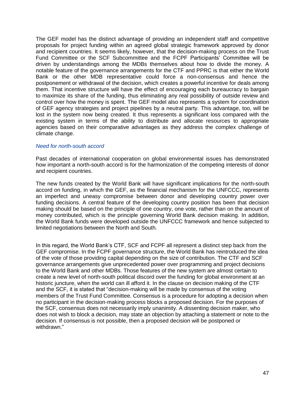The GEF model has the distinct advantage of providing an independent staff and competitive proposals for project funding within an agreed global strategic framework approved by donor and recipient countries. It seems likely, however, that the decision-making process on the Trust Fund Committee or the SCF Subcommittee and the FCPF Participants' Committee will be driven by understandings among the MDBs themselves about how to divide the money. A notable feature of the governance arrangements for the CTF and PPRC is that either the World Bank or the other MDB representative could force a non-consensus and hence the postponement or withdrawal of the decision, which creates a powerful incentive for deals among them. That incentive structure will have the effect of encouraging each bureaucracy to bargain to maximize its share of the funding, thus eliminating any real possibility of outside review and control over how the money is spent. The GEF model also represents a system for coordination of GEF agency strategies and project pipelines by a neutral party. This advantage, too, will be lost in the system now being created. It thus represents a significant loss compared with the existing system in terms of the ability to distribute and allocate resources to appropriate agencies based on their comparative advantages as they address the complex challenge of climate change.

## *Need for north-south accord*

Past decades of international cooperation on global environmental issues has demonstrated how important a north-south accord is for the harmonization of the competing interests of donor and recipient countries.

The new funds created by the World Bank will have significant implications for the north-south accord on funding, in which the GEF, as the financial mechanism for the UNFCCC, represents an imperfect and uneasy compromise between donor and developing country power over funding decisions. A central feature of the developing country position has been that decision making should be based on the principle of one country, one vote, rather than on the amount of money contributed, which is the principle governing World Bank decision making. In addition, the World Bank funds were developed outside the UNFCCC framework and hence subjected to limited negotiations between the North and South.

In this regard, the World Bank's CTF, SCF and FCPF all represent a distinct step back from the GEF compromise. In the FCPF governance structure, the World Bank has reintroduced the idea of the vote of those providing capital depending on the size of contribution. The CTF and SCF governance arrangements give unprecedented power over programming and project decisions to the World Bank and other MDBs. Those features of the new system are almost certain to create a new level of north-south political discord over the funding for global environment at an historic juncture, when the world can ill afford it. In the clause on decision making of the CTF and the SCF, it is stated that "decision-making will be made by consensus of the voting members of the Trust Fund Committee. Consensus is a procedure for adopting a decision when no participant in the decision-making process blocks a proposed decision. For the purposes of the SCF, consensus does not necessarily imply unanimity. A dissenting decision maker, who does not wish to block a decision, may state an objection by attaching a statement or note to the decision. If consensus is not possible, then a proposed decision will be postponed or withdrawn."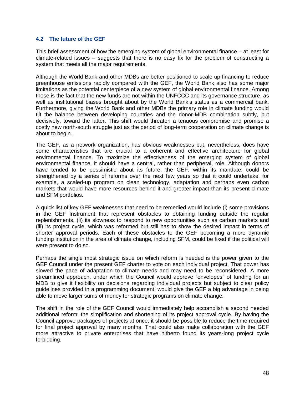# **4.2 The future of the GEF**

This brief assessment of how the emerging system of global environmental finance – at least for climate-related issues – suggests that there is no easy fix for the problem of constructing a system that meets all the major requirements.

Although the World Bank and other MDBs are better positioned to scale up financing to reduce greenhouse emissions rapidly compared with the GEF, the World Bank also has some major limitations as the potential centerpiece of a new system of global environmental finance. Among those is the fact that the new funds are not within the UNFCCC and its governance structure, as well as institutional biases brought about by the World Bank's status as a commercial bank. Furthermore, giving the World Bank and other MDBs the primary role in climate funding would tilt the balance between developing countries and the donor-MDB combination subtly, but decisively, toward the latter. This shift would threaten a tenuous compromise and promise a costly new north-south struggle just as the period of long-term cooperation on climate change is about to begin.

The GEF, as a network organization, has obvious weaknesses but, nevertheless, does have some characteristics that are crucial to a coherent and effective architecture for global environmental finance. To maximize the effectiveness of the emerging system of global environmental finance, it should have a central, rather than peripheral, role. Although donors have tended to be pessimistic about its future, the GEF, within its mandate, could be strengthened by a series of reforms over the next few years so that it could undertake, for example, a scaled-up program on clean technology, adaptation and perhaps even carbon markets that would have more resources behind it and greater impact than its present climate and SFM portfolios.

A quick list of key GEF weaknesses that need to be remedied would include (i) some provisions in the GEF Instrument that represent obstacles to obtaining funding outside the regular replenishments, (ii) its slowness to respond to new opportunities such as carbon markets and (iii) its project cycle, which was reformed but still has to show the desired impact in terms of shorter approval periods. Each of these obstacles to the GEF becoming a more dynamic funding institution in the area of climate change, including SFM, could be fixed if the political will were present to do so.

Perhaps the single most strategic issue on which reform is needed is the power given to the GEF Council under the present GEF charter to vote on each individual project. That power has slowed the pace of adaptation to climate needs and may need to be reconsidered. A more streamlined approach, under which the Council would approve "envelopes" of funding for an MDB to give it flexibility on decisions regarding individual projects but subject to clear policy guidelines provided in a programming document, would give the GEF a big advantage in being able to move larger sums of money for strategic programs on climate change.

The shift in the role of the GEF Council would immediately help accomplish a second needed additional reform: the simplification and shortening of its project approval cycle. By having the Council approve packages of projects at once, it should be possible to reduce the time required for final project approval by many months. That could also make collaboration with the GEF more attractive to private enterprises that have hitherto found its years-long project cycle forbidding.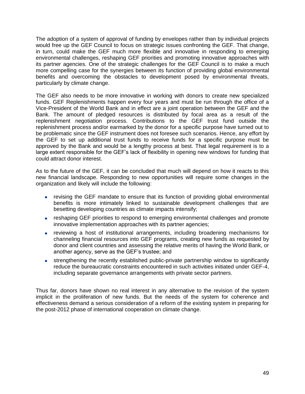The adoption of a system of approval of funding by envelopes rather than by individual projects would free up the GEF Council to focus on strategic issues confronting the GEF. That change, in turn, could make the GEF much more flexible and innovative in responding to emerging environmental challenges, reshaping GEF priorities and promoting innovative approaches with its partner agencies. One of the strategic challenges for the GEF Council is to make a much more compelling case for the synergies between its function of providing global environmental benefits and overcoming the obstacles to development posed by environmental threats, particularly by climate change.

The GEF also needs to be more innovative in working with donors to create new specialized funds. GEF Replenishments happen every four years and must be run through the office of a Vice-President of the World Bank and in effect are a joint operation between the GEF and the Bank. The amount of pledged resources is distributed by focal area as a result of the replenishment negotiation process. Contributions to the GEF trust fund outside the replenishment process and/or earmarked by the donor for a specific purpose have turned out to be problematic since the GEF instrument does not foresee such scenarios. Hence, any effort by the GEF to set up additional trust funds to receive funds for a specific purpose must be approved by the Bank and would be a lengthy process at best. That legal requirement is to a large extent responsible for the GEF's lack of flexibility in opening new windows for funding that could attract donor interest.

As to the future of the GEF, it can be concluded that much will depend on how it reacts to this new financial landscape. Responding to new opportunities will require some changes in the organization and likely will include the following:

- revising the GEF mandate to ensure that its function of providing global environmental benefits is more intimately linked to sustainable development challenges that are besetting developing countries as climate impacts intensify;
- reshaping GEF priorities to respond to emerging environmental challenges and promote innovative implementation approaches with its partner agencies;
- reviewing a host of institutional arrangements, including broadening mechanisms for channeling financial resources into GEF programs, creating new funds as requested by donor and client countries and assessing the relative merits of having the World Bank, or another agency, serve as the GEF's trustee; and
- strengthening the recently established public-private partnership window to significantly  $\bullet$ reduce the bureaucratic constraints encountered in such activities initiated under GEF-4, including separate governance arrangements with private sector partners.

Thus far, donors have shown no real interest in any alternative to the revision of the system implicit in the proliferation of new funds. But the needs of the system for coherence and effectiveness demand a serious consideration of a reform of the existing system in preparing for the post-2012 phase of international cooperation on climate change.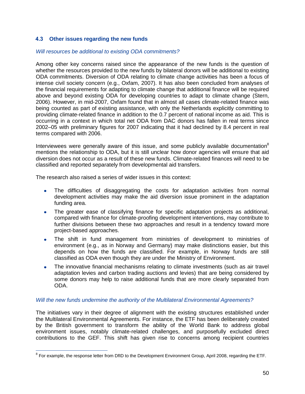# **4.3 Other issues regarding the new funds**

#### *Will resources be additional to existing ODA commitments?*

Among other key concerns raised since the appearance of the new funds is the question of whether the resources provided to the new funds by bilateral donors will be additional to existing ODA commitments. Diversion of ODA relating to climate change activities has been a focus of intense civil society concern (e.g., Oxfam, 2007). It has also been concluded from analyses of the financial requirements for adapting to climate change that additional finance will be required above and beyond existing ODA for developing countries to adapt to climate change (Stern, 2006). However, in mid-2007, Oxfam found that in almost all cases climate-related finance was being counted as part of existing assistance, with only the Netherlands explicitly committing to providing climate-related finance in addition to the 0.7 percent of national income as aid. This is occurring in a context in which total net ODA from DAC donors has fallen in real terms since 2002–05 with preliminary figures for 2007 indicating that it had declined by 8.4 percent in real terms compared with 2006.

Interviewees were generally aware of this issue, and some publicly available documentation<sup>8</sup> mentions the relationship to ODA, but it is still unclear how donor agencies will ensure that aid diversion does not occur as a result of these new funds. Climate-related finances will need to be classified and reported separately from developmental aid transfers.

The research also raised a series of wider issues in this context:

- The difficulties of disaggregating the costs for adaptation activities from normal development activities may make the aid diversion issue prominent in the adaptation funding area.
- The greater ease of classifying finance for specific adaptation projects as additional, compared with finance for climate-proofing development interventions, may contribute to further divisions between these two approaches and result in a tendency toward more project-based approaches.
- The shift in fund management from ministries of development to ministries of  $\bullet$ environment (e.g., as in Norway and Germany) may make distinctions easier, but this depends on how the funds are classified. For example, in Norway funds are still classified as ODA even though they are under the Ministry of Environment.
- The innovative financial mechanisms relating to climate investments (such as air travel adaptation levies and carbon trading auctions and levies) that are being considered by some donors may help to raise additional funds that are more clearly separated from ODA.

## *Will the new funds undermine the authority of the Multilateral Environmental Agreements?*

The initiatives vary in their degree of alignment with the existing structures established under the Multilateral Environmental Agreements. For instance, the ETF has been deliberately created by the British government to transform the ability of the World Bank to address global environment issues, notably climate-related challenges, and purposefully excluded direct contributions to the GEF. This shift has given rise to concerns among recipient countries

<sup>————————————————————&</sup>lt;br><sup>8</sup> For example, the response letter from DfID to the Development Environment Group, April 2008, regarding the ETF.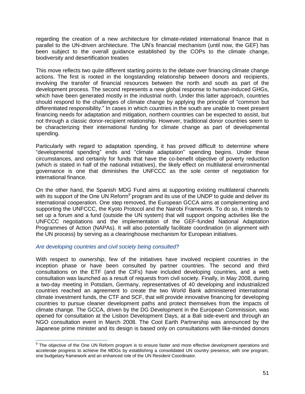regarding the creation of a new architecture for climate-related international finance that is parallel to the UN-driven architecture. The UN's financial mechanism (until now, the GEF) has been subject to the overall guidance established by the COPs to the climate change, biodiversity and desertification treaties

This move reflects two quite different starting points to the debate over financing climate change actions. The first is rooted in the longstanding relationship between donors and recipients, involving the transfer of financial resources between the north and south as part of the development process. The second represents a new global response to human-induced GHGs, which have been generated mostly in the industrial north. Under this latter approach, countries should respond to the challenges of climate change by applying the principle of "common but" differentiated responsibility." In cases in which countries in the south are unable to meet present financing needs for adaptation and mitigation, northern countries can be expected to assist, but not through a classic donor-recipient relationship. However, traditional donor countries seem to be characterizing their international funding for climate change as part of developmental spending.

Particularly with regard to adaptation spending, it has proved difficult to determine where "developmental spending" ends and "climate adaptation" spending begins. Under these circumstances, and certainly for funds that have the co-benefit objective of poverty reduction (which is stated in half of the national initiatives), the likely effect on multilateral environmental governance is one that diminishes the UNFCCC as the sole center of negotiation for international finance.

On the other hand, the Spanish MDG Fund aims at supporting existing multilateral channels with its support of the One UN Reform<sup>9</sup> program and its use of the UNDP to guide and deliver its international cooperation. One step removed, the European GCCA aims at complementing and supporting the UNFCCC, the Kyoto Protocol and the Nairobi Framework. To do so, it intends to set up a forum and a fund (outside the UN system) that will support ongoing activities like the UNFCCC negotiations and the implementation of the GEF-funded National Adaptation Programmes of Action (NAPAs). It will also potentially facilitate coordination (in alignment with the UN process) by serving as a clearinghouse mechanism for European initiatives.

## *Are developing countries and civil society being consulted?*

With respect to *ownership*, few of the initiatives have involved recipient countries in the inception phase or have been consulted by partner countries. The second and third consultations on the ETF (and the CIFs) have included developing countries, and a web consultation was launched as a result of requests from civil society. Finally, in May 2008, during a two-day meeting in Potsdam, Germany, representatives of 40 developing and industrialized countries reached an agreement to create the two World Bank administered international climate investment funds, the CTF and SCF, that will provide innovative financing for developing countries to pursue cleaner development paths and protect themselves from the impacts of climate change. The GCCA, driven by the DG Development in the European Commission, was opened for consultation at the Lisbon Development Days, at a Bali side-event and through an NGO consultation event in March 2008. The Cool Earth Partnership was announced by the Japanese prime minister and its design is based only on consultations with like-minded donors

**EXECTS THE ORDER THE CONCRET OF THE ORDER**<br>The objective of the One UN Reform program is to ensure faster and more effective development operations and accelerate progress to achieve the MDGs by establishing a consolidated UN country presence, with one program, one budgetary framework and an enhanced role of the UN Resident Coordinator.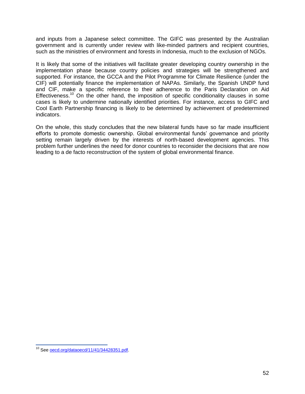and inputs from a Japanese select committee. The GIFC was presented by the Australian government and is currently under review with like-minded partners and recipient countries, such as the ministries of environment and forests in Indonesia, much to the exclusion of NGOs.

It is likely that some of the initiatives will facilitate greater developing country ownership in the implementation phase because country policies and strategies will be strengthened and supported. For instance, the GCCA and the Pilot Programme for Climate Resilience (under the CIF) will potentially finance the implementation of NAPAs. Similarly, the Spanish UNDP fund and CIF, make a specific reference to their adherence to the Paris Declaration on Aid Effectiveness.<sup>10</sup> On the other hand, the imposition of specific conditionality clauses in some cases is likely to undermine nationally identified priorities. For instance, access to GIFC and Cool Earth Partnership financing is likely to be determined by achievement of predetermined indicators.

On the whole, this study concludes that the new bilateral funds have so far made insufficient efforts to promote domestic ownership. Global environmental funds' governance and priority setting remain largely driven by the interests of north-based development agencies. This problem further underlines the need for donor countries to reconsider the decisions that are now leading to a de facto reconstruction of the system of global environmental finance.

 $\overline{a}$ 

<sup>&</sup>lt;sup>10</sup> See oecd.org/dataoecd/11/41/34428351.pdf.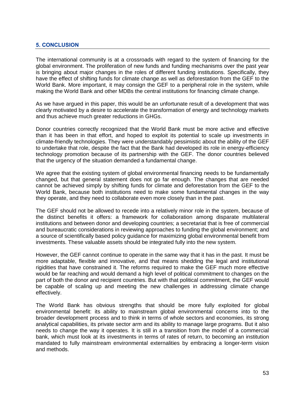# **5. CONCLUSION**

The international community is at a crossroads with regard to the system of financing for the global environment. The proliferation of new funds and funding mechanisms over the past year is bringing about major changes in the roles of different funding institutions. Specifically, they have the effect of shifting funds for climate change as well as deforestation from the GEF to the World Bank. More important, it may consign the GEF to a peripheral role in the system, while making the World Bank and other MDBs the central institutions for financing climate change.

As we have argued in this paper, this would be an unfortunate result of a development that was clearly motivated by a desire to accelerate the transformation of energy and technology markets and thus achieve much greater reductions in GHGs.

Donor countries correctly recognized that the World Bank must be more active and effective than it has been in that effort, and hoped to exploit its potential to scale up investments in climate-friendly technologies. They were understandably pessimistic about the ability of the GEF to undertake that role, despite the fact that the Bank had developed its role in energy-efficiency technology promotion because of its partnership with the GEF. The donor countries believed that the urgency of the situation demanded a fundamental change.

We agree that the existing system of global environmental financing needs to be fundamentally changed, but that general statement does not go far enough. The changes that are needed cannot be achieved simply by shifting funds for climate and deforestation from the GEF to the World Bank, because both institutions need to make some fundamental changes in the way they operate, and they need to collaborate even more closely than in the past.

The GEF should not be allowed to recede into a relatively minor role in the system, because of the distinct benefits it offers: a framework for collaboration among disparate multilateral institutions and between donor and developing countries; a secretariat that is free of commercial and bureaucratic considerations in reviewing approaches to funding the global environment; and a source of scientifically based policy guidance for maximizing global environmental benefit from investments. These valuable assets should be integrated fully into the new system.

However, the GEF cannot continue to operate in the same way that it has in the past. It must be more adaptable, flexible and innovative, and that means shedding the legal and institutional rigidities that have constrained it. The reforms required to make the GEF much more effective would be far reaching and would demand a high level of political commitment to changes on the part of both the donor and recipient countries. But with that political commitment, the GEF would be capable of scaling up and meeting the new challenges in addressing climate change effectively.

The World Bank has obvious strengths that should be more fully exploited for global environmental benefit: its ability to mainstream global environmental concerns into to the broader development process and to think in terms of whole sectors and economies, its strong analytical capabilities, its private sector arm and its ability to manage large programs. But it also needs to change the way it operates. It is still in a transition from the model of a commercial bank, which must look at its investments in terms of rates of return, to becoming an institution mandated to fully mainstream environmental externalities by embracing a longer-term vision and methods.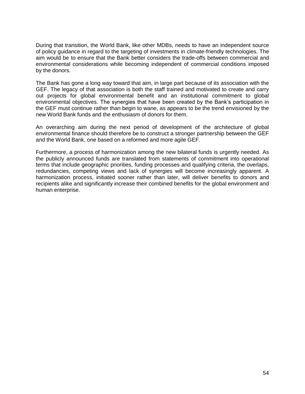During that transition, the World Bank, like other MDBs, needs to have an independent source of policy guidance in regard to the targeting of investments in climate-friendly technologies. The aim would be to ensure that the Bank better considers the trade-offs between commercial and environmental considerations while becoming independent of commercial conditions imposed by the donors.

The Bank has gone a long way toward that aim, in large part because of its association with the GEF. The legacy of that association is both the staff trained and motivated to create and carry out projects for global environmental benefit and an institutional commitment to global environmental objectives. The synergies that have been created by the Bank's participation in the GEF must continue rather than begin to wane, as appears to be the trend envisioned by the new World Bank funds and the enthusiasm of donors for them.

An overarching aim during the next period of development of the architecture of global environmental finance should therefore be to construct a stronger partnership between the GEF and the World Bank, one based on a reformed and more agile GEF.

Furthermore, a process of harmonization among the new bilateral funds is urgently needed. As the publicly announced funds are translated from statements of commitment into operational terms that include geographic priorities, funding processes and qualifying criteria, the overlaps, redundancies, competing views and lack of synergies will become increasingly apparent. A harmonization process, initiated sooner rather than later, will deliver benefits to donors and recipients alike and significantly increase their combined benefits for the global environment and human enterprise.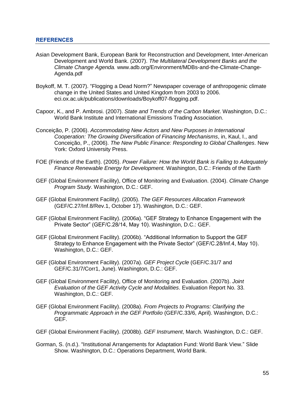- Asian Development Bank, European Bank for Reconstruction and Development, Inter-American Development and World Bank. (2007). *The Multilateral Development Banks and the Climate Change Agenda.* www.adb.org/Environment/MDBs-and-the-Climate-Change-Agenda.pdf
- Boykoff, M. T. (2007). "Flogging a Dead Norm?" Newspaper coverage of anthropogenic climate change in the United States and United Kingdom from 2003 to 2006. eci.ox.ac.uk/publications/downloads/Boykoff07-flogging.pdf.
- Capoor, K., and P. Ambrosi. (2007). *State and Trends of the Carbon Market*. Washington, D.C.: World Bank Institute and International Emissions Trading Association.
- Conceição, P. (2006). *Accommodating New Actors and New Purposes in International Cooperation: The Growing Diversification of Financing Mechanisms*, in, Kaul, I., and Conceição, P., (2006). *The New Public Finance: Responding to Global Challenges*. New York: Oxford University Press.
- FOE (Friends of the Earth). (2005). *Power Failure: How the World Bank is Failing to Adequately Finance Renewable Energy for Development.* Washington, D.C.: Friends of the Earth
- GEF (Global Environment Facility), Office of Monitoring and Evaluation. (2004). *Climate Change Program Study*. Washington, D.C.: GEF.
- GEF (Global Environment Facility). (2005). *The GEF Resources Allocation Framework* (GEF/C.27/Inf.8/Rev.1, October 17). Washington, D.C.: GEF.
- GEF (Global Environment Facility). (2006a). "GEF Strategy to Enhance Engagement with the Private Sector" (GEF/C.28/14, May 10). Washington, D.C.: GEF.
- GEF (Global Environment Facility). (2006b). "Additional Information to Support the GEF Strategy to Enhance Engagement with the Private Sector" (GEF/C.28/Inf.4, May 10). Washington, D.C.: GEF.
- GEF (Global Environment Facility). (2007a). *GEF Project Cycle* (GEF/C.31/7 and GEF/C.31/7/Corr1, June). Washington, D.C.: GEF.
- GEF (Global Environment Facility), Office of Monitoring and Evaluation. (2007b). *Joint Evaluation of the GEF Activity Cycle and Modalities*. Evaluation Report No. 33. Washington, D.C.: GEF.
- GEF (Global Environment Facility). (2008a). *From Projects to Programs: Clarifying the Programmatic Approach in the GEF Portfolio* (GEF/C.33/6, April). Washington, D.C.: GEF.
- GEF (Global Environment Facility). (2008b). *GEF Instrument*, March. Washington, D.C.: GEF.
- Gorman, S. (n.d.). "Institutional Arrangements for Adaptation Fund: World Bank View." Slide Show. Washington, D.C.: Operations Department, World Bank.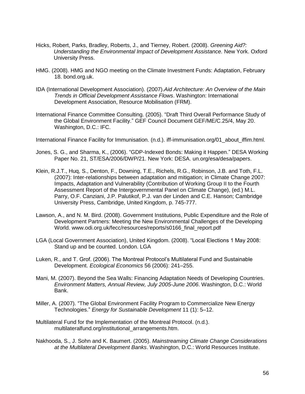- Hicks, Robert, Parks, Bradley, Roberts, J., and Tierney, Robert. (2008). *Greening Aid?: Understanding the Environmental Impact of Development Assistance.* New York. Oxford University Press.
- HMG. (2008). HMG and NGO meeting on the Climate Investment Funds: Adaptation, February 18. bond.org.uk.
- IDA (International Development Association). (2007).*Aid Architecture: An Overview of the Main Trends in Official Development Assistance Flows*. Washington: International Development Association, Resource Mobilisation (FRM).
- International Finance Committee Consulting. (2005). "Draft Third Overall Performance Study of the Global Environment Facility." GEF Council Document GEF/ME/C.25/4, May 20. Washington, D.C.: IFC.
- International Finance Facility for Immunisation. (n.d.). iff-immunisation.org/01\_about\_iffim.html.
- Jones, S. G., and Sharma, K., (2006). "GDP-Indexed Bonds: Making it Happen." DESA Working Paper No. 21, ST/ESA/2006/DWP/21. New York: DESA. un.org/esa/desa/papers.
- Klein, R.J.T., Huq, S., Denton, F., Downing, T.E., Richels, R.G., Robinson, J.B. and Toth, F.L. (2007): Inter-relationships between adaptation and mitigation; in Climate Change 2007: Impacts, Adaptation and Vulnerability (Contribution of Working Group II to the Fourth Assessment Report of the Intergovernmental Panel on Climate Change), (ed.) M.L. Parry, O.F. Canziani, J.P. Palutikof, P.J. van der Linden and C.E. Hanson; Cambridge University Press, Cambridge, United Kingdom, p. 745-777.
- Lawson, A., and N. M. Bird. (2008). Government Institutions, Public Expenditure and the Role of Development Partners: Meeting the New Environmental Challenges of the Developing World. www.odi.org.uk/fecc/resources/reports/s0166\_final\_report.pdf
- LGA (Local Government Association), United Kingdom. (2008). "Local Elections 1 May 2008: Stand up and be counted. London. LGA
- Luken, R., and T. Grof. (2006). The Montreal Protocol's Multilateral Fund and Sustainable Development. *Ecological Economics* 56 (2006): 241–255.
- Mani, M. (2007). Beyond the Sea Walls: Financing Adaptation Needs of Developing Countries. *Environment Matters, Annual Review, July 2005-June 2006*. Washington, D.C.: World Bank.
- Miller, A. (2007). "The Global Environment Facility Program to Commercialize New Energy Technologies.‖ *Energy for Sustainable Development* 11 (1): 5–12.
- Multilateral Fund for the Implementation of the Montreal Protocol. (n.d.). multilateralfund.org/institutional\_arrangements.htm.
- Nakhooda, S., J. Sohn and K. Baumert. (2005). *Mainstreaming Climate Change Considerations at the Multilateral Development Banks*. Washington, D.C.: World Resources Institute.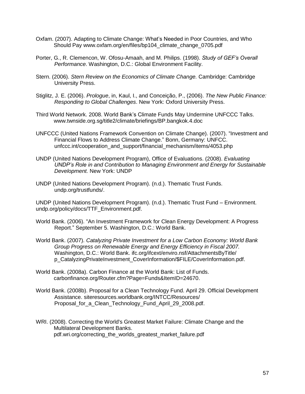- Oxfam. (2007). Adapting to Climate Change: What's Needed in Poor Countries, and Who Should Pay www.oxfam.org/en/files/bp104\_climate\_change\_0705.pdf
- Porter, G., R. Clemencon, W. Ofosu-Amaah, and M. Philips. (1998). *Study of GEF's Overall Performance*. Washington, D.C.: Global Environment Facility.
- Stern. (2006). *Stern Review on the Economics of Climate Change.* Cambridge: Cambridge University Press.
- Stiglitz, J. E. (2006). *Prologue*, in, Kaul, I., and Conceição, P., (2006). *The New Public Finance: Responding to Global Challenges*. New York: Oxford University Press.
- Third World Network. 2008. World Bank's Climate Funds May Undermine UNFCCC Talks. www.twnside.org.sg/title2/climate/briefings/BP.bangkok.4.doc
- UNFCCC (United Nations Framework Convention on Climate Change). (2007). "Investment and Financial Flows to Address Climate Change." Bonn, Germany: UNFCC. unfccc.int/cooperation\_and\_support/financial\_mechanism/items/4053.php
- UNDP (United Nations Development Program), Office of Evaluations. (2008). *Evaluating UNDP's Role in and Contribution to Managing Environment and Energy for Sustainable Development.* New York: UNDP
- UNDP (United Nations Development Program). (n.d.). Thematic Trust Funds. undp.org/trustfunds/.

UNDP (United Nations Development Program). (n.d.). Thematic Trust Fund – Environment. undp.org/policy/docs/TTF\_Environment.pdf.

- World Bank. (2006). "An Investment Framework for Clean Energy Development: A Progress Report." September 5. Washington, D.C.: World Bank.
- World Bank. (2007). *Catalyzing Private Investment for a Low Carbon Economy: World Bank Group Progress on Renewable Energy and Energy Efficiency in Fiscal 2007.* Washington, D.C.: World Bank. ifc.org/ifcext/enviro.nsf/AttachmentsByTitle/ p\_CatalyzingPrivateInvestment\_CoverInformation/\$FILE/CoverInformation.pdf.
- World Bank. (2008a). Carbon Finance at the World Bank: List of Funds. carbonfinance.org/Router.cfm?Page=Funds&ItemID=24670.
- World Bank. (2008b). Proposal for a Clean Technology Fund. April 29. Official Development Assistance. siteresources.worldbank.org/INTCC/Resources/ Proposal for a Clean Technology Fund April 29 2008.pdf.

WRI. (2008). Correcting the World's Greatest Market Failure: Climate Change and the Multilateral Development Banks. pdf.wri.org/correcting\_the\_worlds\_greatest\_market\_failure.pdf